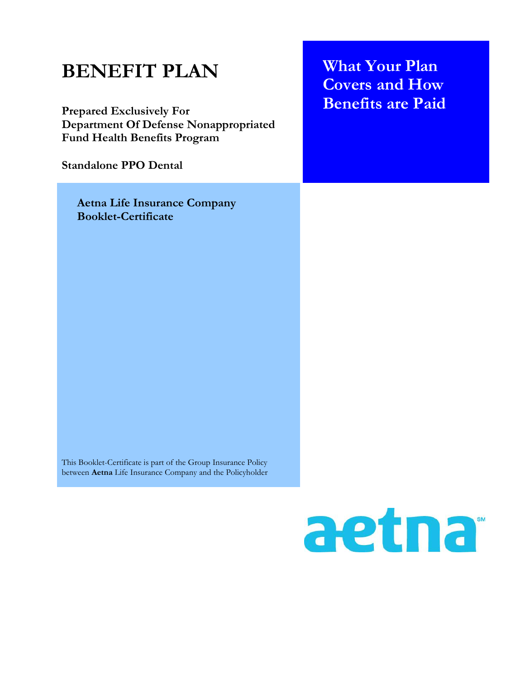# **BENEFIT PLAN**

**Prepared Exclusively For Department Of Defense Nonappropriated Fund Health Benefits Program** 

**Standalone PPO Dental** 

**Aetna Life Insurance Company Booklet-Certificate** 

**What Your Plan Covers and How Benefits are Paid** 

This Booklet-Certificate is part of the Group Insurance Policy between **Aetna** Life Insurance Company and the Policyholder

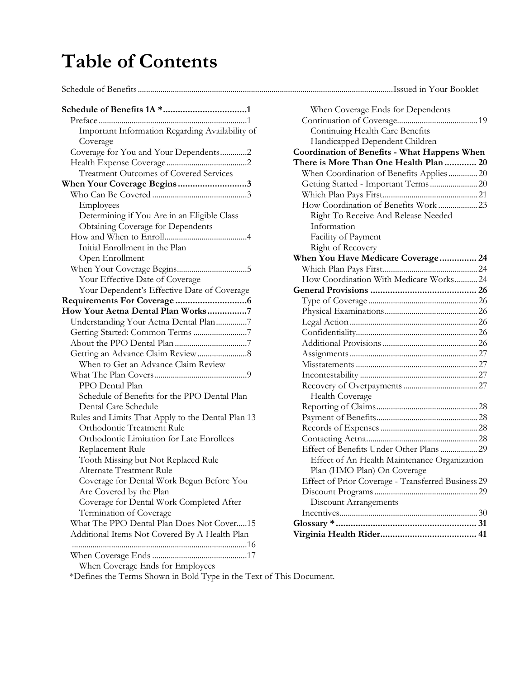# **Table of Contents**

### Schedule of Benefits ............................................................................................................................ Issued in Your Booklet

| Important Information Regarding Availability of   |
|---------------------------------------------------|
| Coverage                                          |
| Coverage for You and Your Dependents2             |
|                                                   |
| <b>Treatment Outcomes of Covered Services</b>     |
| When Your Coverage Begins3                        |
|                                                   |
| Employees                                         |
| Determining if You Are in an Eligible Class       |
| Obtaining Coverage for Dependents                 |
|                                                   |
| Initial Enrollment in the Plan                    |
| Open Enrollment                                   |
|                                                   |
| Your Effective Date of Coverage                   |
| Your Dependent's Effective Date of Coverage       |
|                                                   |
| How Your Aetna Dental Plan Works7                 |
| Understanding Your Aetna Dental Plan 7            |
| Getting Started: Common Terms 7                   |
|                                                   |
|                                                   |
| When to Get an Advance Claim Review               |
|                                                   |
| PPO Dental Plan                                   |
| Schedule of Benefits for the PPO Dental Plan      |
| Dental Care Schedule                              |
| Rules and Limits That Apply to the Dental Plan 13 |
| Orthodontic Treatment Rule                        |
| Orthodontic Limitation for Late Enrollees         |
| Replacement Rule                                  |
| Tooth Missing but Not Replaced Rule               |
| Alternate Treatment Rule                          |
| Coverage for Dental Work Begun Before You         |
| Are Covered by the Plan                           |
| Coverage for Dental Work Completed After          |
| Termination of Coverage                           |
| What The PPO Dental Plan Does Not Cover15         |
| Additional Items Not Covered By A Health Plan     |
|                                                   |
|                                                   |
| When Coverage Ends for Employees                  |

| When Coverage Ends for Dependents                   |  |
|-----------------------------------------------------|--|
|                                                     |  |
| Continuing Health Care Benefits                     |  |
| Handicapped Dependent Children                      |  |
| <b>Coordination of Benefits - What Happens When</b> |  |
| There is More Than One Health Plan  20              |  |
| When Coordination of Benefits Applies20             |  |
|                                                     |  |
|                                                     |  |
| How Coordination of Benefits Work 23                |  |
| Right To Receive And Release Needed                 |  |
| Information                                         |  |
| Facility of Payment                                 |  |
| Right of Recovery                                   |  |
| When You Have Medicare Coverage 24                  |  |
|                                                     |  |
| How Coordination With Medicare Works24              |  |
|                                                     |  |
|                                                     |  |
|                                                     |  |
|                                                     |  |
|                                                     |  |
|                                                     |  |
|                                                     |  |
|                                                     |  |
|                                                     |  |
|                                                     |  |
| <b>Health Coverage</b>                              |  |
|                                                     |  |
|                                                     |  |
|                                                     |  |
|                                                     |  |
| Effect of Benefits Under Other Plans 29             |  |
| Effect of An Health Maintenance Organization        |  |
| Plan (HMO Plan) On Coverage                         |  |
| Effect of Prior Coverage - Transferred Business 29  |  |
|                                                     |  |
| <b>Discount Arrangements</b>                        |  |
|                                                     |  |
|                                                     |  |
|                                                     |  |

\*Defines the Terms Shown in Bold Type in the Text of This Document.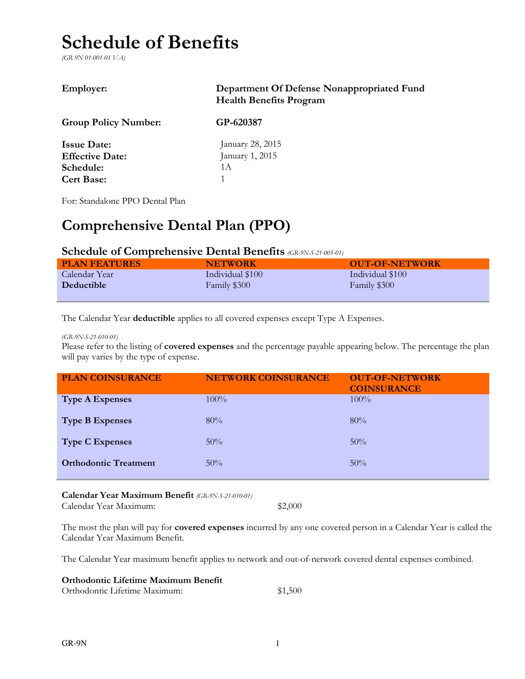# **Schedule of Benefits**

*(GR 9N 01-001-01 VA)*

| <b>Employer:</b>            | Department Of Defense Nonappropriated Fund<br><b>Health Benefits Program</b> |
|-----------------------------|------------------------------------------------------------------------------|
| <b>Group Policy Number:</b> | GP-620387                                                                    |
| <b>Issue Date:</b>          | January 28, 2015                                                             |
| <b>Effective Date:</b>      | January 1, 2015                                                              |
| Schedule:                   | 1 A                                                                          |
| <b>Cert Base:</b>           |                                                                              |

For: Standalone PPO Dental Plan

# **Comprehensive Dental Plan (PPO)**

### **Schedule of Comprehensive Dental Benefits** *(GR-9N-S-21-005-01)*

| <b>PLAN FEATURES</b> | <b>NETWORK</b>   | <b>OUT-OF-NETWORK</b> |
|----------------------|------------------|-----------------------|
| Calendar Year        | Individual \$100 | Individual \$100      |
| <b>Deductible</b>    | Family \$300     | Family \$300          |
|                      |                  |                       |

The Calendar Year **deductible** applies to all covered expenses except Type A Expenses.

*(GR-9N-S-21-010-01)*

Please refer to the listing of **covered expenses** and the percentage payable appearing below. The percentage the plan will pay varies by the type of expense.

| <b>PLAN COINSURANCE</b>      | <b>NETWORK COINSURANCE</b> | <b>OUT-OF-NETWORK</b><br><b>COINSURANCE</b> |
|------------------------------|----------------------------|---------------------------------------------|
| <b>Type A Expenses</b>       | $100\%$                    | $100\%$                                     |
| <b>Type B Expenses</b>       | 80%                        | 80%                                         |
| <b>Type C Expenses</b>       | 50%                        | 50%                                         |
| <b>Orthodontic Treatment</b> | 50%                        | 50%                                         |

### **Calendar Year Maximum Benefit** *(GR-9N-S-21-010-01)*

```
Calendar Year Maximum: $2,000
```
The most the plan will pay for **covered expenses** incurred by any one covered person in a Calendar Year is called the Calendar Year Maximum Benefit.

The Calendar Year maximum benefit applies to network and out-of-network covered dental expenses combined.

| Orthodontic Lifetime Maximum Benefit |         |
|--------------------------------------|---------|
| Orthodontic Lifetime Maximum:        | \$1,500 |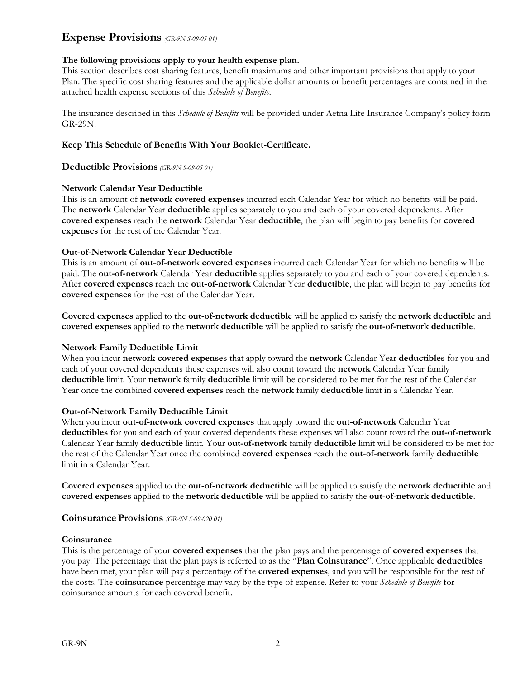## **Expense Provisions** *(GR-9N S-09-05 01)*

### **The following provisions apply to your health expense plan.**

This section describes cost sharing features, benefit maximums and other important provisions that apply to your Plan. The specific cost sharing features and the applicable dollar amounts or benefit percentages are contained in the attached health expense sections of this *Schedule of Benefits*.

The insurance described in this *Schedule of Benefits* will be provided under Aetna Life Insurance Company's policy form GR-29N.

### **Keep This Schedule of Benefits With Your Booklet-Certificate.**

**Deductible Provisions** *(GR-9N S-09-05 01)*

### **Network Calendar Year Deductible**

This is an amount of **network covered expenses** incurred each Calendar Year for which no benefits will be paid. The **network** Calendar Year **deductible** applies separately to you and each of your covered dependents. After **covered expenses** reach the **network** Calendar Year **deductible**, the plan will begin to pay benefits for **covered expenses** for the rest of the Calendar Year.

### **Out-of-Network Calendar Year Deductible**

This is an amount of **out-of-network covered expenses** incurred each Calendar Year for which no benefits will be paid. The **out-of-network** Calendar Year **deductible** applies separately to you and each of your covered dependents. After **covered expenses** reach the **out-of-network** Calendar Year **deductible**, the plan will begin to pay benefits for **covered expenses** for the rest of the Calendar Year.

**Covered expenses** applied to the **out-of-network deductible** will be applied to satisfy the **network deductible** and **covered expenses** applied to the **network deductible** will be applied to satisfy the **out-of-network deductible**.

### **Network Family Deductible Limit**

When you incur **network covered expenses** that apply toward the **network** Calendar Year **deductibles** for you and each of your covered dependents these expenses will also count toward the **network** Calendar Year family **deductible** limit. Your **network** family **deductible** limit will be considered to be met for the rest of the Calendar Year once the combined **covered expenses** reach the **network** family **deductible** limit in a Calendar Year.

#### **Out-of-Network Family Deductible Limit**

When you incur **out-of-network covered expenses** that apply toward the **out-of-network** Calendar Year **deductibles** for you and each of your covered dependents these expenses will also count toward the **out-of-network**  Calendar Year family **deductible** limit. Your **out-of-network** family **deductible** limit will be considered to be met for the rest of the Calendar Year once the combined **covered expenses** reach the **out-of-network** family **deductible** limit in a Calendar Year.

**Covered expenses** applied to the **out-of-network deductible** will be applied to satisfy the **network deductible** and **covered expenses** applied to the **network deductible** will be applied to satisfy the **out-of-network deductible**.

#### **Coinsurance Provisions** *(GR-9N S-09-020 01)*

#### **Coinsurance**

This is the percentage of your **covered expenses** that the plan pays and the percentage of **covered expenses** that you pay. The percentage that the plan pays is referred to as the "**Plan Coinsurance**". Once applicable **deductibles** have been met, your plan will pay a percentage of the **covered expenses**, and you will be responsible for the rest of the costs. The **coinsurance** percentage may vary by the type of expense. Refer to your *Schedule of Benefits* for coinsurance amounts for each covered benefit.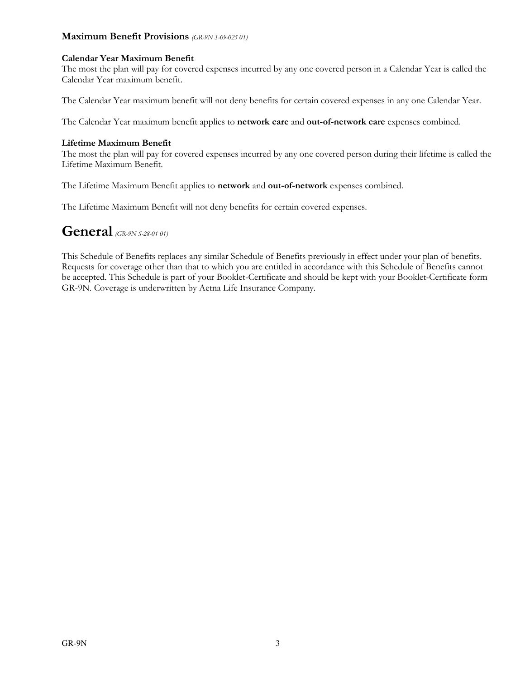### **Maximum Benefit Provisions** *(GR-9N S-09-025 01)*

### **Calendar Year Maximum Benefit**

The most the plan will pay for covered expenses incurred by any one covered person in a Calendar Year is called the Calendar Year maximum benefit.

The Calendar Year maximum benefit will not deny benefits for certain covered expenses in any one Calendar Year.

The Calendar Year maximum benefit applies to **network care** and **out-of-network care** expenses combined.

#### **Lifetime Maximum Benefit**

The most the plan will pay for covered expenses incurred by any one covered person during their lifetime is called the Lifetime Maximum Benefit.

The Lifetime Maximum Benefit applies to **network** and **out-of-network** expenses combined.

The Lifetime Maximum Benefit will not deny benefits for certain covered expenses.

# **General** *(GR-9N S-28-01 01)*

This Schedule of Benefits replaces any similar Schedule of Benefits previously in effect under your plan of benefits. Requests for coverage other than that to which you are entitled in accordance with this Schedule of Benefits cannot be accepted. This Schedule is part of your Booklet-Certificate and should be kept with your Booklet-Certificate form GR-9N. Coverage is underwritten by Aetna Life Insurance Company.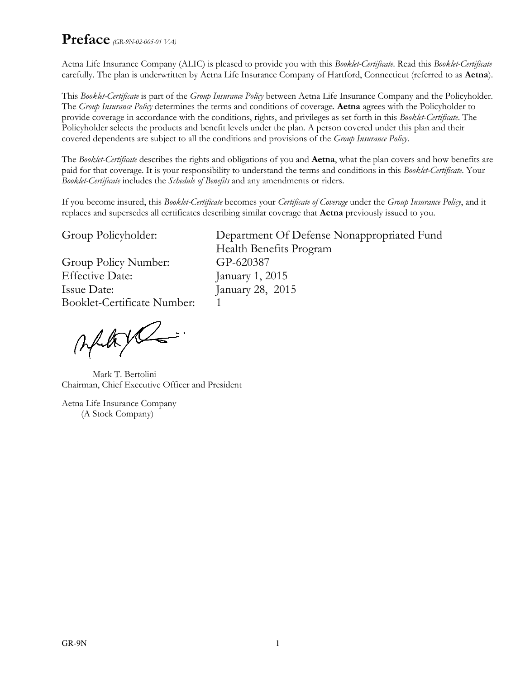# **Preface** *(GR-9N-02-005-01 VA)*

Aetna Life Insurance Company (ALIC) is pleased to provide you with this *Booklet-Certificate*. Read this *Booklet-Certificate* carefully. The plan is underwritten by Aetna Life Insurance Company of Hartford, Connecticut (referred to as **Aetna**).

This *Booklet-Certificate* is part of the *Group Insurance Policy* between Aetna Life Insurance Company and the Policyholder. The *Group Insurance Policy* determines the terms and conditions of coverage. **Aetna** agrees with the Policyholder to provide coverage in accordance with the conditions, rights, and privileges as set forth in this *Booklet-Certificate*. The Policyholder selects the products and benefit levels under the plan. A person covered under this plan and their covered dependents are subject to all the conditions and provisions of the *Group Insurance Policy*.

The *Booklet-Certificate* describes the rights and obligations of you and **Aetna**, what the plan covers and how benefits are paid for that coverage. It is your responsibility to understand the terms and conditions in this *Booklet-Certificate*. Your *Booklet-Certificate* includes the *Schedule of Benefits* and any amendments or riders.

If you become insured, this *Booklet-Certificate* becomes your *Certificate of Coverage* under the *Group Insurance Policy*, and it replaces and supersedes all certificates describing similar coverage that **Aetna** previously issued to you.

Group Policy Number: GP-620387 Effective Date: January 1, 2015 Issue Date: January 28, 2015 Booklet-Certificate Number: 1

Altyl :

Mark T. Bertolini Chairman, Chief Executive Officer and President

Aetna Life Insurance Company (A Stock Company)

Group Policyholder: Department Of Defense Nonappropriated Fund Health Benefits Program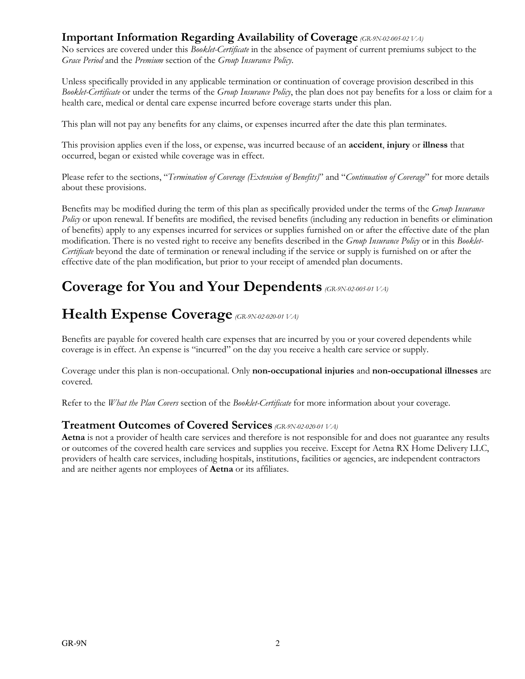## **Important Information Regarding Availability of Coverage** *(GR-9N-02-005-02 VA)*

No services are covered under this *Booklet-Certificate* in the absence of payment of current premiums subject to the *Grace Period* and the *Premium* section of the *Group Insurance Policy*.

Unless specifically provided in any applicable termination or continuation of coverage provision described in this *Booklet-Certificate* or under the terms of the *Group Insurance Policy*, the plan does not pay benefits for a loss or claim for a health care, medical or dental care expense incurred before coverage starts under this plan.

This plan will not pay any benefits for any claims, or expenses incurred after the date this plan terminates.

This provision applies even if the loss, or expense, was incurred because of an **accident**, **injury** or **illness** that occurred, began or existed while coverage was in effect.

Please refer to the sections, "*Termination of Coverage (Extension of Benefits)*" and "*Continuation of Coverage*" for more details about these provisions.

Benefits may be modified during the term of this plan as specifically provided under the terms of the *Group Insurance Policy* or upon renewal. If benefits are modified, the revised benefits (including any reduction in benefits or elimination of benefits) apply to any expenses incurred for services or supplies furnished on or after the effective date of the plan modification. There is no vested right to receive any benefits described in the *Group Insurance Policy* or in this *Booklet-Certificate* beyond the date of termination or renewal including if the service or supply is furnished on or after the effective date of the plan modification, but prior to your receipt of amended plan documents.

# **Coverage for You and Your Dependents** *(GR-9N-02-005-01 VA)*

# **Health Expense Coverage** *(GR-9N-02-020-01 VA)*

Benefits are payable for covered health care expenses that are incurred by you or your covered dependents while coverage is in effect. An expense is "incurred" on the day you receive a health care service or supply.

Coverage under this plan is non-occupational. Only **non-occupational injuries** and **non-occupational illnesses** are covered.

Refer to the *What the Plan Covers* section of the *Booklet-Certificate* for more information about your coverage.

### **Treatment Outcomes of Covered Services** *(GR-9N-02-020-01 VA)*

**Aetna** is not a provider of health care services and therefore is not responsible for and does not guarantee any results or outcomes of the covered health care services and supplies you receive. Except for Aetna RX Home Delivery LLC, providers of health care services, including hospitals, institutions, facilities or agencies, are independent contractors and are neither agents nor employees of **Aetna** or its affiliates.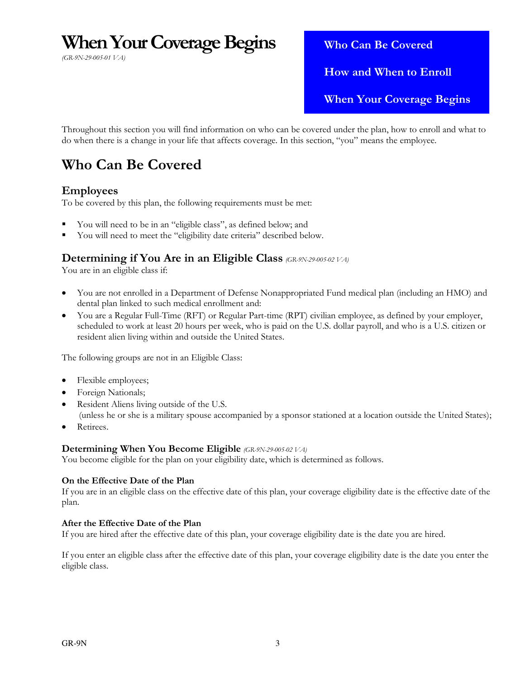# **When Your Coverage Begins**

*(GR-9N-29-005-01 VA)* 

 **Who Can Be Covered How and When to Enroll When Your Coverage Begins** 

Throughout this section you will find information on who can be covered under the plan, how to enroll and what to do when there is a change in your life that affects coverage. In this section, "you" means the employee.

# **Who Can Be Covered**

## **Employees**

To be covered by this plan, the following requirements must be met:

- You will need to be in an "eligible class", as defined below; and
- You will need to meet the "eligibility date criteria" described below.

## **Determining if You Are in an Eligible Class** *(GR-9N-29-005-02 VA)*

You are in an eligible class if:

- You are not enrolled in a Department of Defense Nonappropriated Fund medical plan (including an HMO) and dental plan linked to such medical enrollment and:
- You are a Regular Full-Time (RFT) or Regular Part-time (RPT) civilian employee, as defined by your employer, scheduled to work at least 20 hours per week, who is paid on the U.S. dollar payroll, and who is a U.S. citizen or resident alien living within and outside the United States.

The following groups are not in an Eligible Class:

- Flexible employees;
- Foreign Nationals;
- Resident Aliens living outside of the U.S.

(unless he or she is a military spouse accompanied by a sponsor stationed at a location outside the United States); Retirees.

### **Determining When You Become Eligible** *(GR-9N-29-005-02 VA)*

You become eligible for the plan on your eligibility date, which is determined as follows.

### **On the Effective Date of the Plan**

If you are in an eligible class on the effective date of this plan, your coverage eligibility date is the effective date of the plan.

### **After the Effective Date of the Plan**

If you are hired after the effective date of this plan, your coverage eligibility date is the date you are hired.

If you enter an eligible class after the effective date of this plan, your coverage eligibility date is the date you enter the eligible class.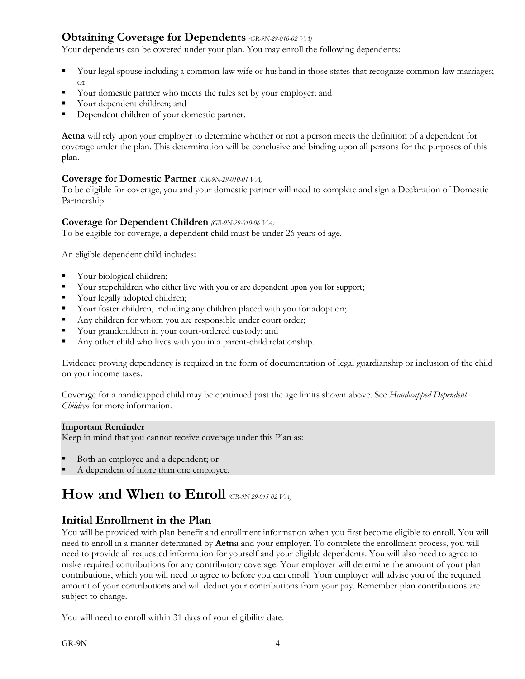## **Obtaining Coverage for Dependents** *(GR-9N-29-010-02 VA)*

Your dependents can be covered under your plan. You may enroll the following dependents:

- Your legal spouse including a common-law wife or husband in those states that recognize common-law marriages; or
- Your domestic partner who meets the rules set by your employer; and
- Your dependent children; and
- Dependent children of your domestic partner.

**Aetna** will rely upon your employer to determine whether or not a person meets the definition of a dependent for coverage under the plan. This determination will be conclusive and binding upon all persons for the purposes of this plan.

### **Coverage for Domestic Partner** *(GR-9N-29-010-01 VA)*

To be eligible for coverage, you and your domestic partner will need to complete and sign a Declaration of Domestic Partnership.

### **Coverage for Dependent Children** *(GR-9N-29-010-06 VA)*

To be eligible for coverage, a dependent child must be under 26 years of age.

An eligible dependent child includes:

- Your biological children;
- Your stepchildren who either live with you or are dependent upon you for support;
- Vour legally adopted children;
- Your foster children, including any children placed with you for adoption;
- Any children for whom you are responsible under court order;
- Your grandchildren in your court-ordered custody; and
- Any other child who lives with you in a parent-child relationship.

Evidence proving dependency is required in the form of documentation of legal guardianship or inclusion of the child on your income taxes.

Coverage for a handicapped child may be continued past the age limits shown above. See *Handicapped Dependent Children* for more information.

### **Important Reminder**

Keep in mind that you cannot receive coverage under this Plan as:

- Both an employee and a dependent; or
- A dependent of more than one employee.

# **How and When to Enroll** *(GR-9N 29-015 02 VA)*

### **Initial Enrollment in the Plan**

You will be provided with plan benefit and enrollment information when you first become eligible to enroll. You will need to enroll in a manner determined by **Aetna** and your employer. To complete the enrollment process, you will need to provide all requested information for yourself and your eligible dependents. You will also need to agree to make required contributions for any contributory coverage. Your employer will determine the amount of your plan contributions, which you will need to agree to before you can enroll. Your employer will advise you of the required amount of your contributions and will deduct your contributions from your pay. Remember plan contributions are subject to change.

You will need to enroll within 31 days of your eligibility date.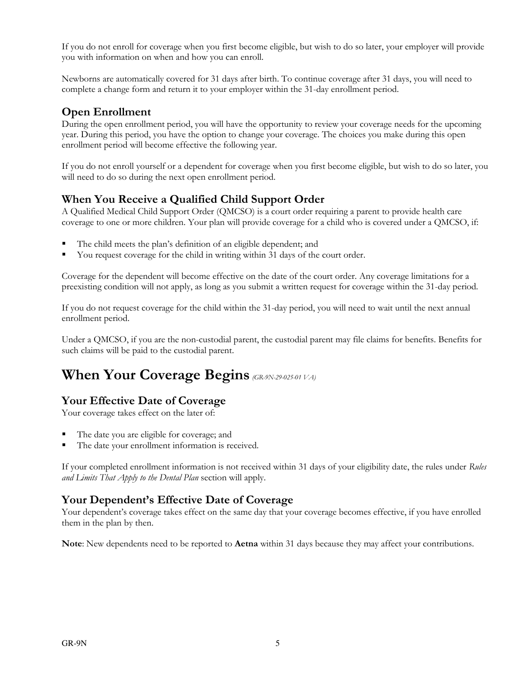If you do not enroll for coverage when you first become eligible, but wish to do so later, your employer will provide you with information on when and how you can enroll.

Newborns are automatically covered for 31 days after birth. To continue coverage after 31 days, you will need to complete a change form and return it to your employer within the 31-day enrollment period.

## **Open Enrollment**

During the open enrollment period, you will have the opportunity to review your coverage needs for the upcoming year. During this period, you have the option to change your coverage. The choices you make during this open enrollment period will become effective the following year.

If you do not enroll yourself or a dependent for coverage when you first become eligible, but wish to do so later, you will need to do so during the next open enrollment period.

# **When You Receive a Qualified Child Support Order**

A Qualified Medical Child Support Order (QMCSO) is a court order requiring a parent to provide health care coverage to one or more children. Your plan will provide coverage for a child who is covered under a QMCSO, if:

- The child meets the plan's definition of an eligible dependent; and
- You request coverage for the child in writing within 31 days of the court order.

Coverage for the dependent will become effective on the date of the court order. Any coverage limitations for a preexisting condition will not apply, as long as you submit a written request for coverage within the 31-day period.

If you do not request coverage for the child within the 31-day period, you will need to wait until the next annual enrollment period.

Under a QMCSO, if you are the non-custodial parent, the custodial parent may file claims for benefits. Benefits for such claims will be paid to the custodial parent.

# **When Your Coverage Begins** *(GR-9N-29-025-01 VA)*

# **Your Effective Date of Coverage**

Your coverage takes effect on the later of:

- The date you are eligible for coverage; and
- The date your enrollment information is received.

If your completed enrollment information is not received within 31 days of your eligibility date, the rules under *Rules and Limits That Apply to the Dental Plan* section will apply.

# **Your Dependent's Effective Date of Coverage**

Your dependent's coverage takes effect on the same day that your coverage becomes effective, if you have enrolled them in the plan by then.

**Note**: New dependents need to be reported to **Aetna** within 31 days because they may affect your contributions.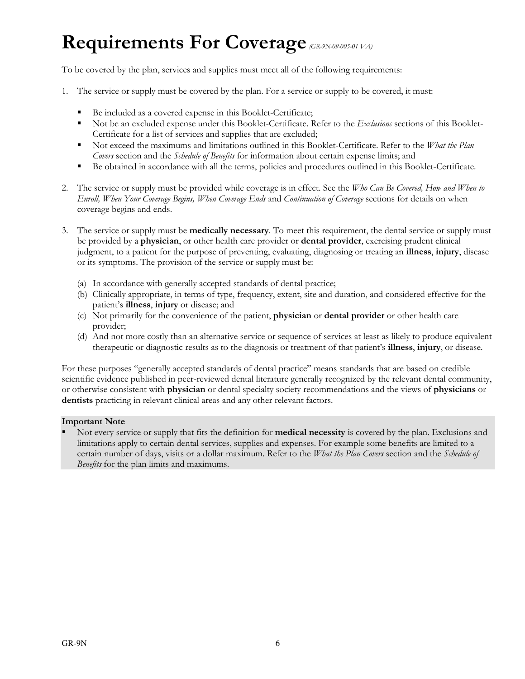# **Requirements For Coverage** *(GR-9N-09-005-01 VA)*

To be covered by the plan, services and supplies must meet all of the following requirements:

- 1. The service or supply must be covered by the plan. For a service or supply to be covered, it must:
	- Be included as a covered expense in this Booklet-Certificate;
	- Not be an excluded expense under this Booklet-Certificate. Refer to the *Exclusions* sections of this Booklet-Certificate for a list of services and supplies that are excluded;
	- Not exceed the maximums and limitations outlined in this Booklet-Certificate. Refer to the *What the Plan Covers* section and the *Schedule of Benefits* for information about certain expense limits; and
	- Be obtained in accordance with all the terms, policies and procedures outlined in this Booklet-Certificate.
- 2. The service or supply must be provided while coverage is in effect. See the *Who Can Be Covered, How and When to Enroll, When Your Coverage Begins, When Coverage Ends* and *Continuation of Coverage* sections for details on when coverage begins and ends.
- 3. The service or supply must be **medically necessary**. To meet this requirement, the dental service or supply must be provided by a **physician**, or other health care provider or **dental provider**, exercising prudent clinical judgment, to a patient for the purpose of preventing, evaluating, diagnosing or treating an **illness**, **injury**, disease or its symptoms. The provision of the service or supply must be:
	- (a) In accordance with generally accepted standards of dental practice;
	- (b) Clinically appropriate, in terms of type, frequency, extent, site and duration, and considered effective for the patient's **illness**, **injury** or disease; and
	- (c) Not primarily for the convenience of the patient, **physician** or **dental provider** or other health care provider;
	- (d) And not more costly than an alternative service or sequence of services at least as likely to produce equivalent therapeutic or diagnostic results as to the diagnosis or treatment of that patient's **illness**, **injury**, or disease.

For these purposes "generally accepted standards of dental practice" means standards that are based on credible scientific evidence published in peer-reviewed dental literature generally recognized by the relevant dental community, or otherwise consistent with **physician** or dental specialty society recommendations and the views of **physicians** or **dentists** practicing in relevant clinical areas and any other relevant factors.

#### **Important Note**

 Not every service or supply that fits the definition for **medical necessity** is covered by the plan. Exclusions and limitations apply to certain dental services, supplies and expenses. For example some benefits are limited to a certain number of days, visits or a dollar maximum. Refer to the *What the Plan Covers* section and the *Schedule of Benefits* for the plan limits and maximums.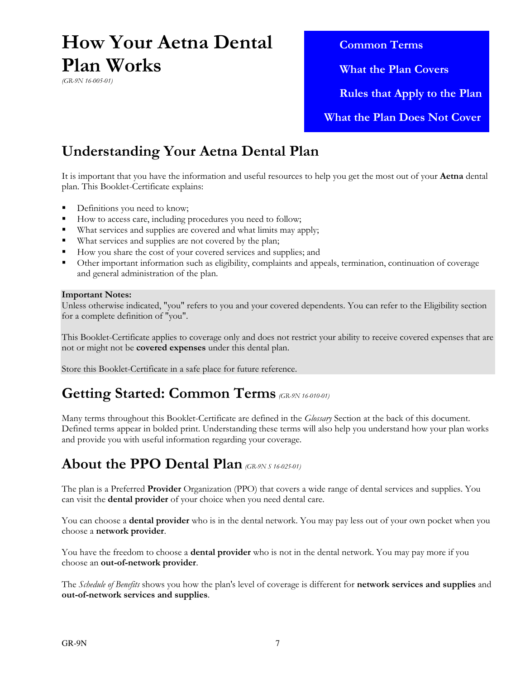# **How Your Aetna Dental Plan Works**

*(GR-9N 16-005-01)*

 **Common Terms What the Plan Covers Rules that Apply to the Plan**

 **What the Plan Does Not Cover**

# **Understanding Your Aetna Dental Plan**

It is important that you have the information and useful resources to help you get the most out of your **Aetna** dental plan. This Booklet-Certificate explains:

- Definitions you need to know;
- How to access care, including procedures you need to follow;
- What services and supplies are covered and what limits may apply;
- What services and supplies are not covered by the plan;
- How you share the cost of your covered services and supplies; and
- Other important information such as eligibility, complaints and appeals, termination, continuation of coverage and general administration of the plan.

### **Important Notes:**

Unless otherwise indicated, "you" refers to you and your covered dependents. You can refer to the Eligibility section for a complete definition of "you".

This Booklet-Certificate applies to coverage only and does not restrict your ability to receive covered expenses that are not or might not be **covered expenses** under this dental plan.

Store this Booklet-Certificate in a safe place for future reference.

# **Getting Started: Common Terms** *(GR-9N 16-010-01)*

Many terms throughout this Booklet-Certificate are defined in the *Glossary* Section at the back of this document. Defined terms appear in bolded print. Understanding these terms will also help you understand how your plan works and provide you with useful information regarding your coverage.

# **About the PPO Dental Plan** *(GR-9N S 16-025-01)*

The plan is a Preferred **Provider** Organization (PPO) that covers a wide range of dental services and supplies. You can visit the **dental provider** of your choice when you need dental care.

You can choose a **dental provider** who is in the dental network. You may pay less out of your own pocket when you choose a **network provider**.

You have the freedom to choose a **dental provider** who is not in the dental network. You may pay more if you choose an **out-of-network provider**.

The *Schedule of Benefits* shows you how the plan's level of coverage is different for **network services and supplies** and **out-of-network services and supplies**.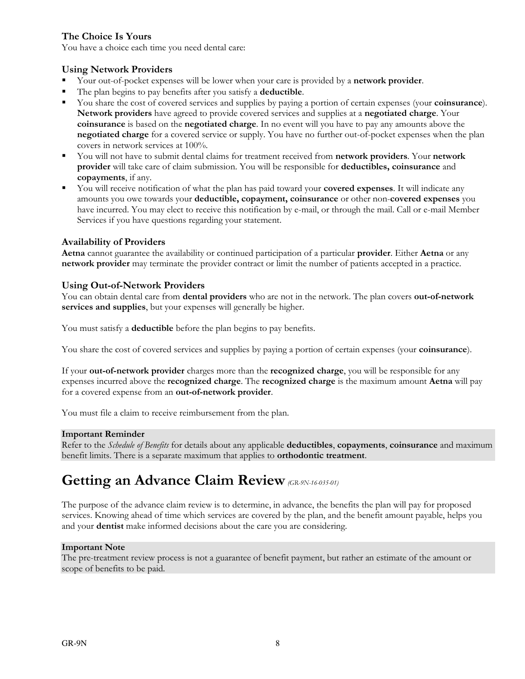### **The Choice Is Yours**

You have a choice each time you need dental care:

### **Using Network Providers**

- Your out-of-pocket expenses will be lower when your care is provided by a **network provider**.
- The plan begins to pay benefits after you satisfy a **deductible**.
- You share the cost of covered services and supplies by paying a portion of certain expenses (your **coinsurance**). **Network providers** have agreed to provide covered services and supplies at a **negotiated charge**. Your **coinsurance** is based on the **negotiated charge**. In no event will you have to pay any amounts above the **negotiated charge** for a covered service or supply. You have no further out-of-pocket expenses when the plan covers in network services at 100%.
- You will not have to submit dental claims for treatment received from **network providers**. Your **network provider** will take care of claim submission. You will be responsible for **deductibles, coinsurance** and **copayments**, if any.
- You will receive notification of what the plan has paid toward your **covered expenses**. It will indicate any amounts you owe towards your **deductible, copayment, coinsurance** or other non-**covered expenses** you have incurred. You may elect to receive this notification by e-mail, or through the mail. Call or e-mail Member Services if you have questions regarding your statement.

### **Availability of Providers**

**Aetna** cannot guarantee the availability or continued participation of a particular **provider**. Either **Aetna** or any **network provider** may terminate the provider contract or limit the number of patients accepted in a practice.

### **Using Out-of-Network Providers**

You can obtain dental care from **dental providers** who are not in the network. The plan covers **out-of-network services and supplies**, but your expenses will generally be higher.

You must satisfy a **deductible** before the plan begins to pay benefits.

You share the cost of covered services and supplies by paying a portion of certain expenses (your **coinsurance**).

If your **out-of-network provider** charges more than the **recognized charge**, you will be responsible for any expenses incurred above the **recognized charge**. The **recognized charge** is the maximum amount **Aetna** will pay for a covered expense from an **out-of-network provider**.

You must file a claim to receive reimbursement from the plan.

### **Important Reminder**

Refer to the *Schedule of Benefits* for details about any applicable **deductibles**, **copayments**, **coinsurance** and maximum benefit limits. There is a separate maximum that applies to **orthodontic treatment**.

# **Getting an Advance Claim Review** *(GR-9N-16-035-01)*

The purpose of the advance claim review is to determine, in advance, the benefits the plan will pay for proposed services. Knowing ahead of time which services are covered by the plan, and the benefit amount payable, helps you and your **dentist** make informed decisions about the care you are considering.

### **Important Note**

The pre-treatment review process is not a guarantee of benefit payment, but rather an estimate of the amount or scope of benefits to be paid.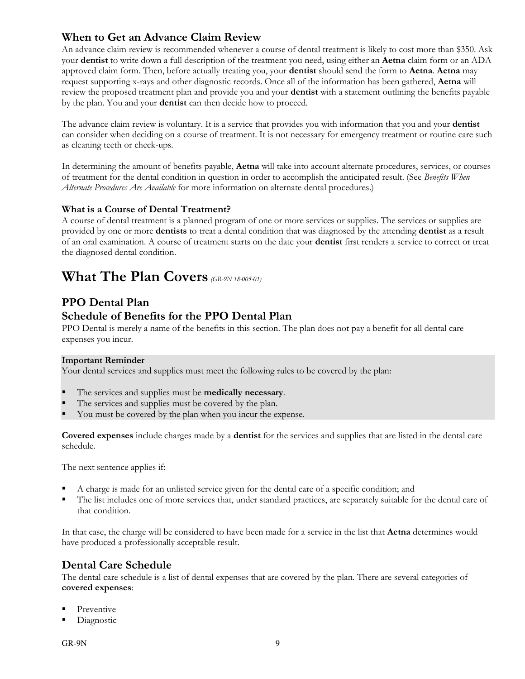## **When to Get an Advance Claim Review**

An advance claim review is recommended whenever a course of dental treatment is likely to cost more than \$350. Ask your **dentist** to write down a full description of the treatment you need, using either an **Aetna** claim form or an ADA approved claim form. Then, before actually treating you, your **dentist** should send the form to **Aetna**. **Aetna** may request supporting x-rays and other diagnostic records. Once all of the information has been gathered, **Aetna** will review the proposed treatment plan and provide you and your **dentist** with a statement outlining the benefits payable by the plan. You and your **dentist** can then decide how to proceed.

The advance claim review is voluntary. It is a service that provides you with information that you and your **dentist** can consider when deciding on a course of treatment. It is not necessary for emergency treatment or routine care such as cleaning teeth or check-ups.

In determining the amount of benefits payable, **Aetna** will take into account alternate procedures, services, or courses of treatment for the dental condition in question in order to accomplish the anticipated result. (See *Benefits When Alternate Procedures Are Available* for more information on alternate dental procedures.)

### **What is a Course of Dental Treatment?**

A course of dental treatment is a planned program of one or more services or supplies. The services or supplies are provided by one or more **dentists** to treat a dental condition that was diagnosed by the attending **dentist** as a result of an oral examination. A course of treatment starts on the date your **dentist** first renders a service to correct or treat the diagnosed dental condition.

# **What The Plan Covers** *(GR-9N 18-005-01)*

## **PPO Dental Plan**

## **Schedule of Benefits for the PPO Dental Plan**

PPO Dental is merely a name of the benefits in this section. The plan does not pay a benefit for all dental care expenses you incur.

### **Important Reminder**

Your dental services and supplies must meet the following rules to be covered by the plan:

- The services and supplies must be **medically necessary**.
- The services and supplies must be covered by the plan.
- You must be covered by the plan when you incur the expense.

**Covered expenses** include charges made by a **dentist** for the services and supplies that are listed in the dental care schedule.

The next sentence applies if:

- A charge is made for an unlisted service given for the dental care of a specific condition; and
- The list includes one of more services that, under standard practices, are separately suitable for the dental care of that condition.

In that case, the charge will be considered to have been made for a service in the list that **Aetna** determines would have produced a professionally acceptable result.

### **Dental Care Schedule**

The dental care schedule is a list of dental expenses that are covered by the plan. There are several categories of **covered expenses**:

- Preventive
- Diagnostic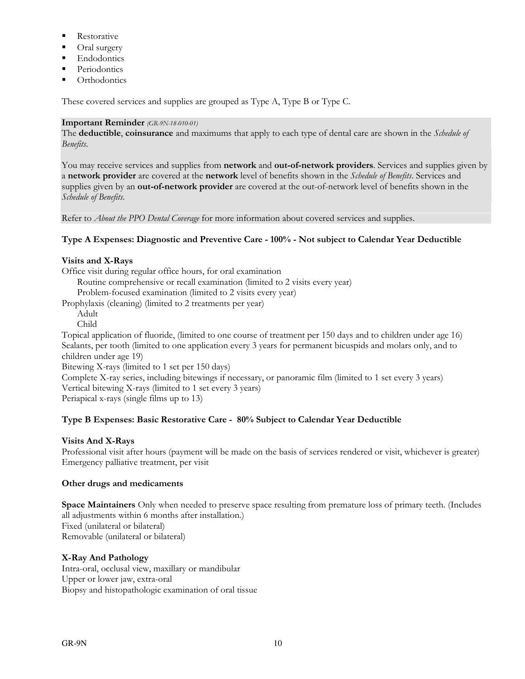- **Restorative**
- Oral surgery
- **Endodontics**
- **Periodontics**
- **Orthodontics**

These covered services and supplies are grouped as Type A, Type B or Type C.

### **Important Reminder** *(GR-9N-18-010-01)*

The **deductible**, **coinsurance** and maximums that apply to each type of dental care are shown in the *Schedule of Benefits*.

You may receive services and supplies from **network** and **out-of-network providers**. Services and supplies given by a **network provider** are covered at the **network** level of benefits shown in the *Schedule of Benefits*. Services and supplies given by an **out-of-network provider** are covered at the out-of-network level of benefits shown in the *Schedule of Benefits*.

Refer to *About the PPO Dental Coverage* for more information about covered services and supplies.

### **Type A Expenses: Diagnostic and Preventive Care - 100% - Not subject to Calendar Year Deductible**

### **Visits and X-Rays**

Office visit during regular office hours, for oral examination

Routine comprehensive or recall examination (limited to 2 visits every year)

Problem-focused examination (limited to 2 visits every year)

Prophylaxis (cleaning) (limited to 2 treatments per year)

Adult

Child

Topical application of fluoride, (limited to one course of treatment per 150 days and to children under age 16) Sealants, per tooth (limited to one application every 3 years for permanent bicuspids and molars only, and to children under age 19)

Bitewing X-rays (limited to 1 set per 150 days)

Complete X-ray series, including bitewings if necessary, or panoramic film (limited to 1 set every 3 years) Vertical bitewing X-rays (limited to 1 set every 3 years) Periapical x-rays (single films up to 13)

### **Type B Expenses: Basic Restorative Care - 80% Subject to Calendar Year Deductible**

### **Visits And X-Rays**

Professional visit after hours (payment will be made on the basis of services rendered or visit, whichever is greater) Emergency palliative treatment, per visit

### **Other drugs and medicaments**

**Space Maintainers** Only when needed to preserve space resulting from premature loss of primary teeth. (Includes all adjustments within 6 months after installation.) Fixed (unilateral or bilateral) Removable (unilateral or bilateral)

### **X-Ray And Pathology**

Intra-oral, occlusal view, maxillary or mandibular Upper or lower jaw, extra-oral Biopsy and histopathologic examination of oral tissue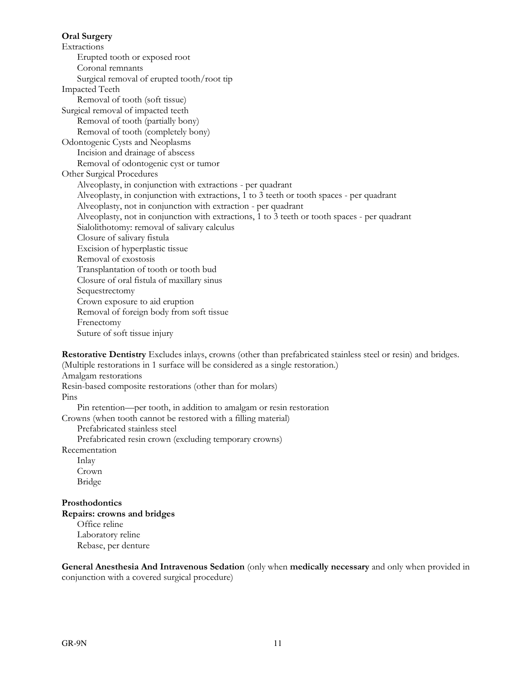### **Oral Surgery**

Extractions Erupted tooth or exposed root Coronal remnants Surgical removal of erupted tooth/root tip Impacted Teeth Removal of tooth (soft tissue) Surgical removal of impacted teeth Removal of tooth (partially bony) Removal of tooth (completely bony) Odontogenic Cysts and Neoplasms Incision and drainage of abscess Removal of odontogenic cyst or tumor Other Surgical Procedures Alveoplasty, in conjunction with extractions - per quadrant Alveoplasty, in conjunction with extractions, 1 to 3 teeth or tooth spaces - per quadrant Alveoplasty, not in conjunction with extraction - per quadrant Alveoplasty, not in conjunction with extractions, 1 to 3 teeth or tooth spaces - per quadrant Sialolithotomy: removal of salivary calculus Closure of salivary fistula Excision of hyperplastic tissue Removal of exostosis Transplantation of tooth or tooth bud Closure of oral fistula of maxillary sinus Sequestrectomy Crown exposure to aid eruption Removal of foreign body from soft tissue Frenectomy Suture of soft tissue injury

**Restorative Dentistry** Excludes inlays, crowns (other than prefabricated stainless steel or resin) and bridges. (Multiple restorations in 1 surface will be considered as a single restoration.)

Amalgam restorations

Resin-based composite restorations (other than for molars)

Pins

Pin retention—per tooth, in addition to amalgam or resin restoration

Crowns (when tooth cannot be restored with a filling material)

Prefabricated stainless steel

Prefabricated resin crown (excluding temporary crowns)

Recementation Inlay Crown Bridge

**Prosthodontics Repairs: crowns and bridges**  Office reline Laboratory reline Rebase, per denture

**General Anesthesia And Intravenous Sedation** (only when **medically necessary** and only when provided in conjunction with a covered surgical procedure)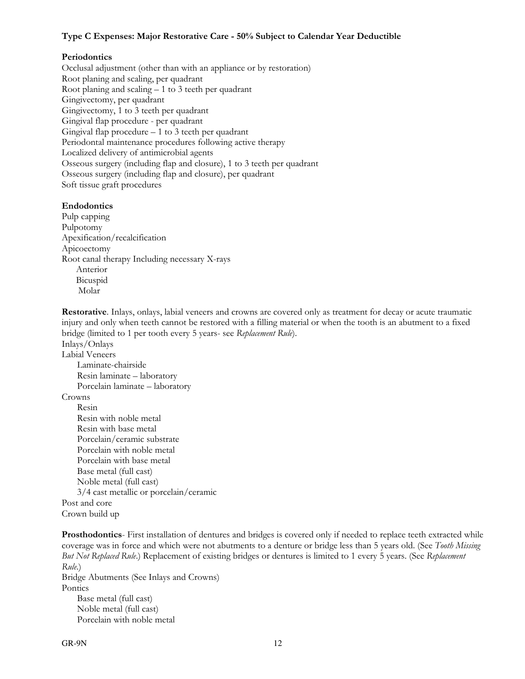### **Type C Expenses: Major Restorative Care - 50% Subject to Calendar Year Deductible**

### **Periodontics**

Occlusal adjustment (other than with an appliance or by restoration) Root planing and scaling, per quadrant Root planing and scaling – 1 to 3 teeth per quadrant Gingivectomy, per quadrant Gingivectomy, 1 to 3 teeth per quadrant Gingival flap procedure - per quadrant Gingival flap procedure  $-1$  to 3 teeth per quadrant Periodontal maintenance procedures following active therapy Localized delivery of antimicrobial agents Osseous surgery (including flap and closure), 1 to 3 teeth per quadrant Osseous surgery (including flap and closure), per quadrant Soft tissue graft procedures

### **Endodontics**

Pulp capping Pulpotomy Apexification/recalcification Apicoectomy Root canal therapy Including necessary X-rays Anterior Bicuspid Molar

**Restorative**. Inlays, onlays, labial veneers and crowns are covered only as treatment for decay or acute traumatic injury and only when teeth cannot be restored with a filling material or when the tooth is an abutment to a fixed bridge (limited to 1 per tooth every 5 years- see *Replacement Rule*).

Inlays/Onlays

Labial Veneers Laminate-chairside Resin laminate – laboratory Porcelain laminate – laboratory

Crowns

 Resin Resin with noble metal Resin with base metal Porcelain/ceramic substrate Porcelain with noble metal Porcelain with base metal Base metal (full cast) Noble metal (full cast) 3/4 cast metallic or porcelain/ceramic Post and core Crown build up

**Prosthodontics**- First installation of dentures and bridges is covered only if needed to replace teeth extracted while coverage was in force and which were not abutments to a denture or bridge less than 5 years old. (See *Tooth Missing But Not Replaced Rule*.) Replacement of existing bridges or dentures is limited to 1 every 5 years. (See *Replacement Rule*.) Bridge Abutments (See Inlays and Crowns) **Pontics** 

 Base metal (full cast) Noble metal (full cast) Porcelain with noble metal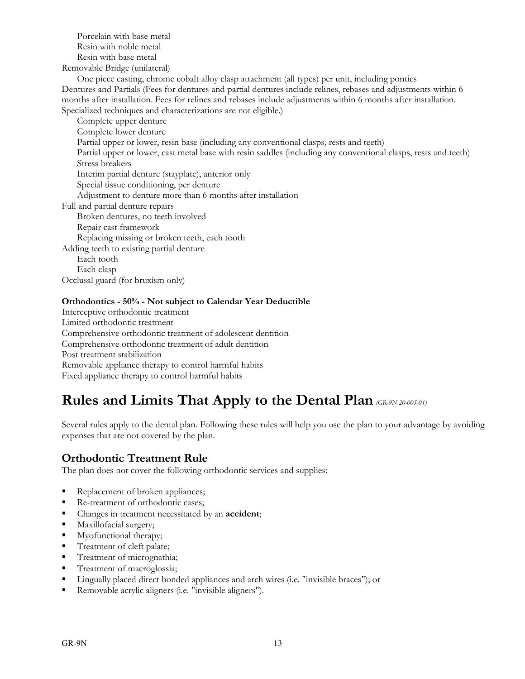Porcelain with base metal Resin with noble metal Resin with base metal Removable Bridge (unilateral)

 One piece casting, chrome cobalt alloy clasp attachment (all types) per unit, including pontics Dentures and Partials (Fees for dentures and partial dentures include relines, rebases and adjustments within 6 months after installation. Fees for relines and rebases include adjustments within 6 months after installation. Specialized techniques and characterizations are not eligible.)

 Complete upper denture Complete lower denture Partial upper or lower, resin base (including any conventional clasps, rests and teeth) Partial upper or lower, cast metal base with resin saddles (including any conventional clasps, rests and teeth) Stress breakers Interim partial denture (stayplate), anterior only Special tissue conditioning, per denture Adjustment to denture more than 6 months after installation Full and partial denture repairs Broken dentures, no teeth involved Repair cast framework Replacing missing or broken teeth, each tooth Adding teeth to existing partial denture Each tooth Each clasp Occlusal guard (for bruxism only)

### **Orthodontics - 50% - Not subject to Calendar Year Deductible**

Interceptive orthodontic treatment Limited orthodontic treatment Comprehensive orthodontic treatment of adolescent dentition Comprehensive orthodontic treatment of adult dentition Post treatment stabilization Removable appliance therapy to control harmful habits Fixed appliance therapy to control harmful habits

# **Rules and Limits That Apply to the Dental Plan** *(GR-9N 20-005-01)*

Several rules apply to the dental plan. Following these rules will help you use the plan to your advantage by avoiding expenses that are not covered by the plan.

## **Orthodontic Treatment Rule**

The plan does not cover the following orthodontic services and supplies:

- Replacement of broken appliances;
- Re-treatment of orthodontic cases;
- Changes in treatment necessitated by an **accident**;
- **Maxillofacial surgery;**
- **Myofunctional therapy;**
- **Treatment of cleft palate;**
- Treatment of micrognathia;
- **Treatment of macroglossia;**
- Lingually placed direct bonded appliances and arch wires (i.e. "invisible braces"); or
- Removable acrylic aligners (i.e. "invisible aligners").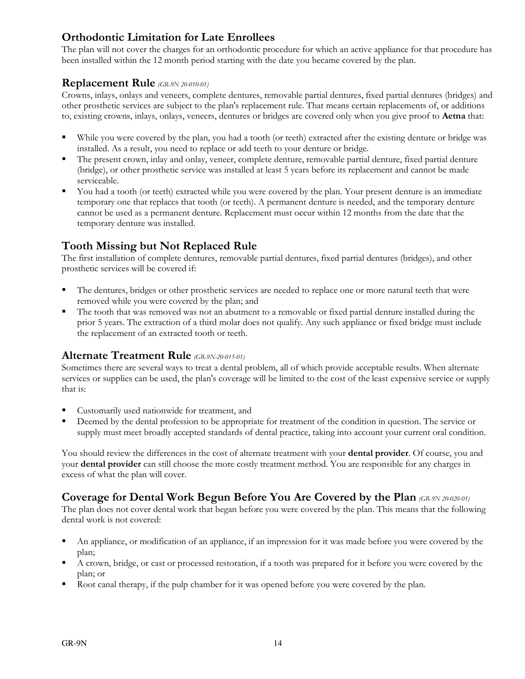# **Orthodontic Limitation for Late Enrollees**

The plan will not cover the charges for an orthodontic procedure for which an active appliance for that procedure has been installed within the 12 month period starting with the date you became covered by the plan.

### **Replacement Rule** *(GR-9N 20-010-01)*

Crowns, inlays, onlays and veneers, complete dentures, removable partial dentures, fixed partial dentures (bridges) and other prosthetic services are subject to the plan's replacement rule. That means certain replacements of, or additions to, existing crowns, inlays, onlays, veneers, dentures or bridges are covered only when you give proof to **Aetna** that:

- While you were covered by the plan, you had a tooth (or teeth) extracted after the existing denture or bridge was installed. As a result, you need to replace or add teeth to your denture or bridge.
- The present crown, inlay and onlay, veneer, complete denture, removable partial denture, fixed partial denture (bridge), or other prosthetic service was installed at least 5 years before its replacement and cannot be made serviceable.
- You had a tooth (or teeth) extracted while you were covered by the plan. Your present denture is an immediate temporary one that replaces that tooth (or teeth). A permanent denture is needed, and the temporary denture cannot be used as a permanent denture. Replacement must occur within 12 months from the date that the temporary denture was installed.

# **Tooth Missing but Not Replaced Rule**

The first installation of complete dentures, removable partial dentures, fixed partial dentures (bridges), and other prosthetic services will be covered if:

- The dentures, bridges or other prosthetic services are needed to replace one or more natural teeth that were removed while you were covered by the plan; and
- The tooth that was removed was not an abutment to a removable or fixed partial denture installed during the prior 5 years. The extraction of a third molar does not qualify. Any such appliance or fixed bridge must include the replacement of an extracted tooth or teeth.

### **Alternate Treatment Rule** *(GR-9N-20-015-01)*

Sometimes there are several ways to treat a dental problem, all of which provide acceptable results. When alternate services or supplies can be used, the plan's coverage will be limited to the cost of the least expensive service or supply that is:

- Customarily used nationwide for treatment, and
- Deemed by the dental profession to be appropriate for treatment of the condition in question. The service or supply must meet broadly accepted standards of dental practice, taking into account your current oral condition.

You should review the differences in the cost of alternate treatment with your **dental provider**. Of course, you and your **dental provider** can still choose the more costly treatment method. You are responsible for any charges in excess of what the plan will cover.

# **Coverage for Dental Work Begun Before You Are Covered by the Plan** *(GR-9N 20-020-01)*

The plan does not cover dental work that began before you were covered by the plan. This means that the following dental work is not covered:

- An appliance, or modification of an appliance, if an impression for it was made before you were covered by the plan;
- A crown, bridge, or cast or processed restoration, if a tooth was prepared for it before you were covered by the plan; or
- Root canal therapy, if the pulp chamber for it was opened before you were covered by the plan.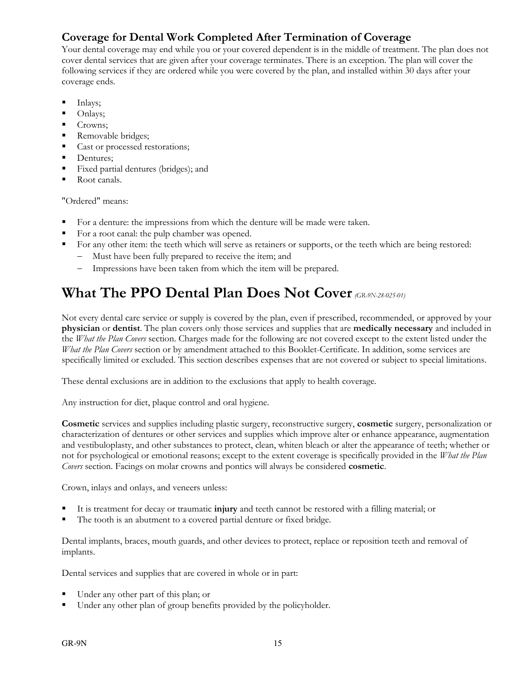# **Coverage for Dental Work Completed After Termination of Coverage**

Your dental coverage may end while you or your covered dependent is in the middle of treatment. The plan does not cover dental services that are given after your coverage terminates. There is an exception. The plan will cover the following services if they are ordered while you were covered by the plan, and installed within 30 days after your coverage ends.

- Inlays;
- Onlays;
- Crowns;
- Removable bridges;
- Cast or processed restorations;
- Dentures;
- Fixed partial dentures (bridges); and
- Root canals.

"Ordered" means:

- For a denture: the impressions from which the denture will be made were taken.
- For a root canal: the pulp chamber was opened.
- For any other item: the teeth which will serve as retainers or supports, or the teeth which are being restored:
	- Must have been fully prepared to receive the item; and
	- Impressions have been taken from which the item will be prepared.

# **What The PPO Dental Plan Does Not Cover***(GR-9N-28-025-01)*

Not every dental care service or supply is covered by the plan, even if prescribed, recommended, or approved by your **physician** or **dentist**. The plan covers only those services and supplies that are **medically necessary** and included in the *What the Plan Covers* section. Charges made for the following are not covered except to the extent listed under the *What the Plan Covers* section or by amendment attached to this Booklet-Certificate. In addition, some services are specifically limited or excluded. This section describes expenses that are not covered or subject to special limitations.

These dental exclusions are in addition to the exclusions that apply to health coverage.

Any instruction for diet, plaque control and oral hygiene.

**Cosmetic** services and supplies including plastic surgery, reconstructive surgery, **cosmetic** surgery, personalization or characterization of dentures or other services and supplies which improve alter or enhance appearance, augmentation and vestibuloplasty, and other substances to protect, clean, whiten bleach or alter the appearance of teeth; whether or not for psychological or emotional reasons; except to the extent coverage is specifically provided in the *What the Plan Covers* section. Facings on molar crowns and pontics will always be considered **cosmetic**.

Crown, inlays and onlays, and veneers unless:

- It is treatment for decay or traumatic **injury** and teeth cannot be restored with a filling material; or
- The tooth is an abutment to a covered partial denture or fixed bridge.

Dental implants, braces, mouth guards, and other devices to protect, replace or reposition teeth and removal of implants.

Dental services and supplies that are covered in whole or in part:

- Under any other part of this plan; or
- Under any other plan of group benefits provided by the policyholder.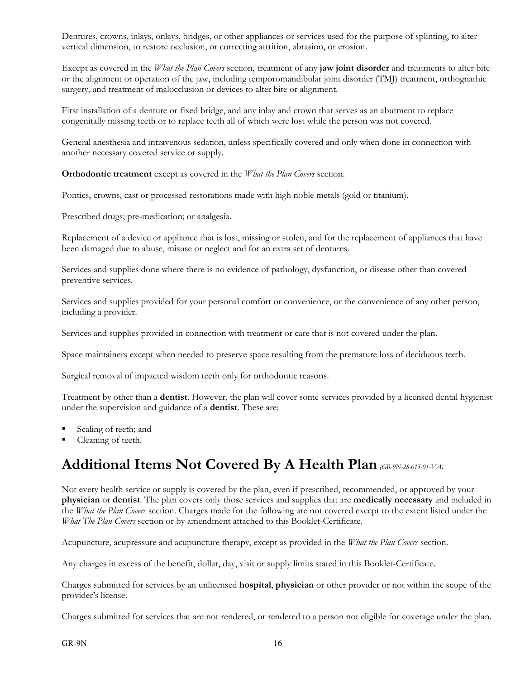Dentures, crowns, inlays, onlays, bridges, or other appliances or services used for the purpose of splinting, to alter vertical dimension, to restore occlusion, or correcting attrition, abrasion, or erosion.

Except as covered in the *What the Plan Covers* section, treatment of any **jaw joint disorder** and treatments to alter bite or the alignment or operation of the jaw, including temporomandibular joint disorder (TMJ) treatment, orthognathic surgery, and treatment of malocclusion or devices to alter bite or alignment.

First installation of a denture or fixed bridge, and any inlay and crown that serves as an abutment to replace congenitally missing teeth or to replace teeth all of which were lost while the person was not covered.

General anesthesia and intravenous sedation, unless specifically covered and only when done in connection with another necessary covered service or supply.

**Orthodontic treatment** except as covered in the *What the Plan Covers* section.

Pontics, crowns, cast or processed restorations made with high noble metals (gold or titanium).

Prescribed drugs; pre-medication; or analgesia.

Replacement of a device or appliance that is lost, missing or stolen, and for the replacement of appliances that have been damaged due to abuse, misuse or neglect and for an extra set of dentures.

Services and supplies done where there is no evidence of pathology, dysfunction, or disease other than covered preventive services.

Services and supplies provided for your personal comfort or convenience, or the convenience of any other person, including a provider.

Services and supplies provided in connection with treatment or care that is not covered under the plan.

Space maintainers except when needed to preserve space resulting from the premature loss of deciduous teeth.

Surgical removal of impacted wisdom teeth only for orthodontic reasons.

Treatment by other than a **dentist**. However, the plan will cover some services provided by a licensed dental hygienist under the supervision and guidance of a **dentist**. These are:

- Scaling of teeth; and
- Cleaning of teeth.

# **Additional Items Not Covered By A Health Plan** *(GR-9N-28-015-01-VA)*

Not every health service or supply is covered by the plan, even if prescribed, recommended, or approved by your **physician** or **dentist**. The plan covers only those services and supplies that are **medically necessary** and included in the *What the Plan Covers* section. Charges made for the following are not covered except to the extent listed under the *What The Plan Covers* section or by amendment attached to this Booklet-Certificate.

Acupuncture, acupressure and acupuncture therapy, except as provided in the *What the Plan Covers* section.

Any charges in excess of the benefit, dollar, day, visit or supply limits stated in this Booklet-Certificate.

Charges submitted for services by an unlicensed **hospital**, **physician** or other provider or not within the scope of the provider's license.

Charges submitted for services that are not rendered, or rendered to a person not eligible for coverage under the plan.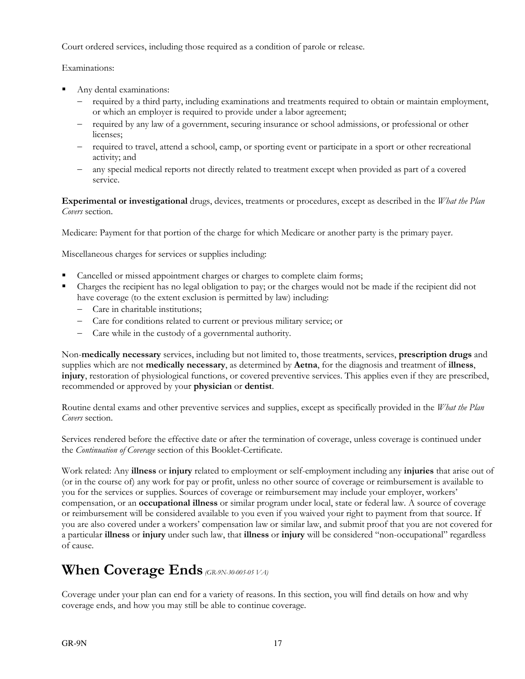Court ordered services, including those required as a condition of parole or release.

Examinations:

- Any dental examinations:
	- required by a third party, including examinations and treatments required to obtain or maintain employment, or which an employer is required to provide under a labor agreement;
	- required by any law of a government, securing insurance or school admissions, or professional or other licenses;
	- required to travel, attend a school, camp, or sporting event or participate in a sport or other recreational activity; and
	- any special medical reports not directly related to treatment except when provided as part of a covered service.

**Experimental or investigational** drugs, devices, treatments or procedures, except as described in the *What the Plan Covers* section.

Medicare: Payment for that portion of the charge for which Medicare or another party is the primary payer.

Miscellaneous charges for services or supplies including:

- Cancelled or missed appointment charges or charges to complete claim forms;
- Charges the recipient has no legal obligation to pay; or the charges would not be made if the recipient did not have coverage (to the extent exclusion is permitted by law) including:
	- Care in charitable institutions;
	- Care for conditions related to current or previous military service; or
	- Care while in the custody of a governmental authority.

Non-**medically necessary** services, including but not limited to, those treatments, services, **prescription drugs** and supplies which are not **medically necessary**, as determined by **Aetna**, for the diagnosis and treatment of **illness**, **injury**, restoration of physiological functions, or covered preventive services. This applies even if they are prescribed, recommended or approved by your **physician** or **dentist**.

Routine dental exams and other preventive services and supplies, except as specifically provided in the *What the Plan Covers* section.

Services rendered before the effective date or after the termination of coverage, unless coverage is continued under the *Continuation of Coverage* section of this Booklet-Certificate.

Work related: Any **illness** or **injury** related to employment or self-employment including any **injuries** that arise out of (or in the course of) any work for pay or profit, unless no other source of coverage or reimbursement is available to you for the services or supplies. Sources of coverage or reimbursement may include your employer, workers' compensation, or an **occupational illness** or similar program under local, state or federal law. A source of coverage or reimbursement will be considered available to you even if you waived your right to payment from that source. If you are also covered under a workers' compensation law or similar law, and submit proof that you are not covered for a particular **illness** or **injury** under such law, that **illness** or **injury** will be considered "non-occupational" regardless of cause.

# **When Coverage Ends** *(GR-9N-30-005-05 VA)*

Coverage under your plan can end for a variety of reasons. In this section, you will find details on how and why coverage ends, and how you may still be able to continue coverage.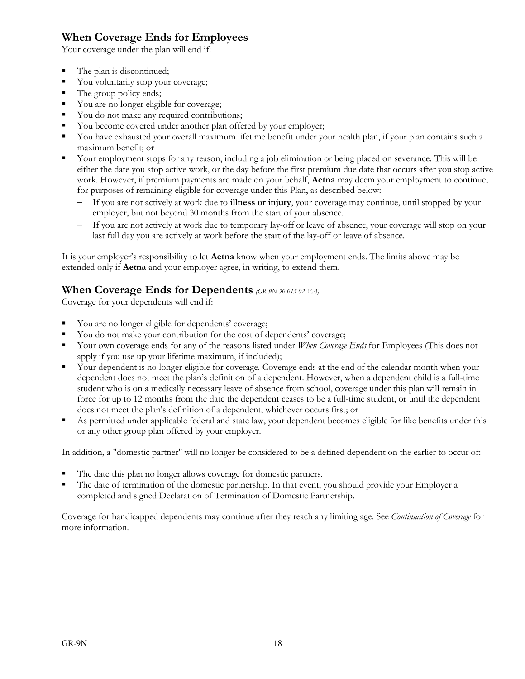# **When Coverage Ends for Employees**

Your coverage under the plan will end if:

- The plan is discontinued;
- You voluntarily stop your coverage;
- $\blacksquare$  The group policy ends;
- You are no longer eligible for coverage;
- You do not make any required contributions;
- Tou become covered under another plan offered by your employer;
- You have exhausted your overall maximum lifetime benefit under your health plan, if your plan contains such a maximum benefit; or
- Your employment stops for any reason, including a job elimination or being placed on severance. This will be either the date you stop active work, or the day before the first premium due date that occurs after you stop active work. However, if premium payments are made on your behalf, **Aetna** may deem your employment to continue, for purposes of remaining eligible for coverage under this Plan, as described below:
	- If you are not actively at work due to **illness or injury**, your coverage may continue, until stopped by your employer, but not beyond 30 months from the start of your absence.
	- If you are not actively at work due to temporary lay-off or leave of absence, your coverage will stop on your last full day you are actively at work before the start of the lay-off or leave of absence.

It is your employer's responsibility to let **Aetna** know when your employment ends. The limits above may be extended only if **Aetna** and your employer agree, in writing, to extend them.

## **When Coverage Ends for Dependents** *(GR-9N-30-015-02 VA)*

Coverage for your dependents will end if:

- You are no longer eligible for dependents' coverage;
- Tou do not make your contribution for the cost of dependents' coverage;
- Your own coverage ends for any of the reasons listed under *When Coverage Ends* for Employees (This does not apply if you use up your lifetime maximum, if included);
- Your dependent is no longer eligible for coverage. Coverage ends at the end of the calendar month when your dependent does not meet the plan's definition of a dependent. However, when a dependent child is a full-time student who is on a medically necessary leave of absence from school, coverage under this plan will remain in force for up to 12 months from the date the dependent ceases to be a full-time student, or until the dependent does not meet the plan's definition of a dependent, whichever occurs first; or
- As permitted under applicable federal and state law, your dependent becomes eligible for like benefits under this or any other group plan offered by your employer.

In addition, a "domestic partner" will no longer be considered to be a defined dependent on the earlier to occur of:

- The date this plan no longer allows coverage for domestic partners.
- The date of termination of the domestic partnership. In that event, you should provide your Employer a completed and signed Declaration of Termination of Domestic Partnership.

Coverage for handicapped dependents may continue after they reach any limiting age. See *Continuation of Coverage* for more information.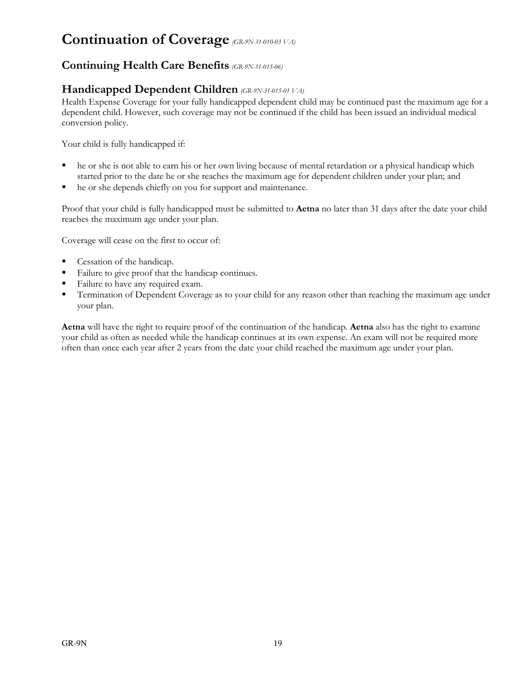# **Continuation of Coverage** *(GR-9N-31-010-03 VA)*

# **Continuing Health Care Benefits** *(GR-9N-31-015-06)*

# **Handicapped Dependent Children** *(GR-9N-31-015-01 VA)*

Health Expense Coverage for your fully handicapped dependent child may be continued past the maximum age for a dependent child. However, such coverage may not be continued if the child has been issued an individual medical conversion policy.

Your child is fully handicapped if:

- he or she is not able to earn his or her own living because of mental retardation or a physical handicap which started prior to the date he or she reaches the maximum age for dependent children under your plan; and
- he or she depends chiefly on you for support and maintenance.

Proof that your child is fully handicapped must be submitted to **Aetna** no later than 31 days after the date your child reaches the maximum age under your plan.

Coverage will cease on the first to occur of:

- Cessation of the handicap.
- Failure to give proof that the handicap continues.
- Failure to have any required exam.
- Termination of Dependent Coverage as to your child for any reason other than reaching the maximum age under your plan.

**Aetna** will have the right to require proof of the continuation of the handicap. **Aetna** also has the right to examine your child as often as needed while the handicap continues at its own expense. An exam will not be required more often than once each year after 2 years from the date your child reached the maximum age under your plan.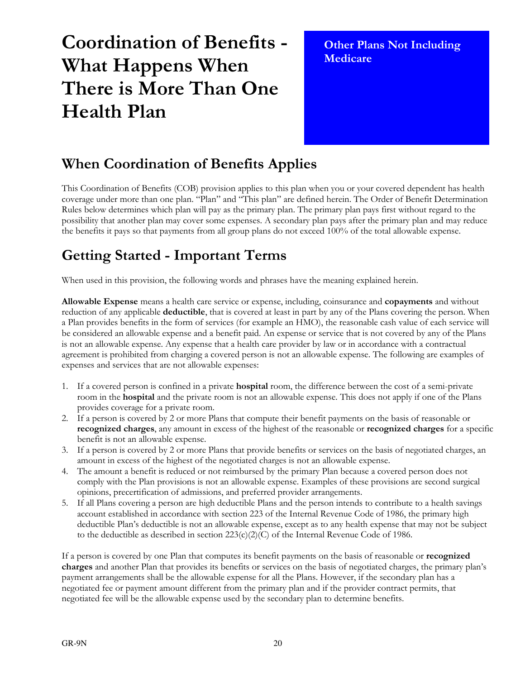# **Coordination of Benefits - What Happens When There is More Than One Health Plan**

 **Other Plans Not Including Medicare** 

# **When Coordination of Benefits Applies**

This Coordination of Benefits (COB) provision applies to this plan when you or your covered dependent has health coverage under more than one plan. "Plan" and "This plan" are defined herein. The Order of Benefit Determination Rules below determines which plan will pay as the primary plan. The primary plan pays first without regard to the possibility that another plan may cover some expenses. A secondary plan pays after the primary plan and may reduce the benefits it pays so that payments from all group plans do not exceed 100% of the total allowable expense.

# **Getting Started - Important Terms**

When used in this provision, the following words and phrases have the meaning explained herein.

**Allowable Expense** means a health care service or expense, including, coinsurance and **copayments** and without reduction of any applicable **deductible**, that is covered at least in part by any of the Plans covering the person. When a Plan provides benefits in the form of services (for example an HMO), the reasonable cash value of each service will be considered an allowable expense and a benefit paid. An expense or service that is not covered by any of the Plans is not an allowable expense. Any expense that a health care provider by law or in accordance with a contractual agreement is prohibited from charging a covered person is not an allowable expense. The following are examples of expenses and services that are not allowable expenses:

- 1. If a covered person is confined in a private **hospital** room, the difference between the cost of a semi-private room in the **hospital** and the private room is not an allowable expense. This does not apply if one of the Plans provides coverage for a private room.
- 2. If a person is covered by 2 or more Plans that compute their benefit payments on the basis of reasonable or **recognized charges**, any amount in excess of the highest of the reasonable or **recognized charges** for a specific benefit is not an allowable expense.
- 3. If a person is covered by 2 or more Plans that provide benefits or services on the basis of negotiated charges, an amount in excess of the highest of the negotiated charges is not an allowable expense.
- 4. The amount a benefit is reduced or not reimbursed by the primary Plan because a covered person does not comply with the Plan provisions is not an allowable expense. Examples of these provisions are second surgical opinions, precertification of admissions, and preferred provider arrangements.
- 5. If all Plans covering a person are high deductible Plans and the person intends to contribute to a health savings account established in accordance with section 223 of the Internal Revenue Code of 1986, the primary high deductible Plan's deductible is not an allowable expense, except as to any health expense that may not be subject to the deductible as described in section  $223(c)(2)(C)$  of the Internal Revenue Code of 1986.

If a person is covered by one Plan that computes its benefit payments on the basis of reasonable or **recognized charges** and another Plan that provides its benefits or services on the basis of negotiated charges, the primary plan's payment arrangements shall be the allowable expense for all the Plans. However, if the secondary plan has a negotiated fee or payment amount different from the primary plan and if the provider contract permits, that negotiated fee will be the allowable expense used by the secondary plan to determine benefits.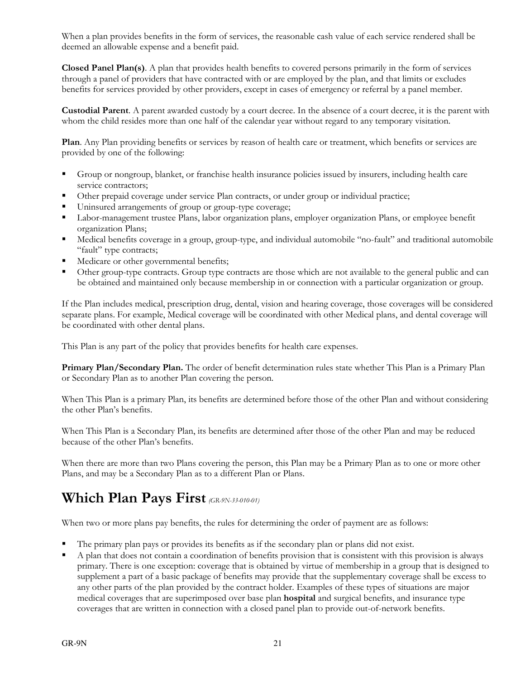When a plan provides benefits in the form of services, the reasonable cash value of each service rendered shall be deemed an allowable expense and a benefit paid.

**Closed Panel Plan(s)**. A plan that provides health benefits to covered persons primarily in the form of services through a panel of providers that have contracted with or are employed by the plan, and that limits or excludes benefits for services provided by other providers, except in cases of emergency or referral by a panel member.

**Custodial Parent**. A parent awarded custody by a court decree. In the absence of a court decree, it is the parent with whom the child resides more than one half of the calendar year without regard to any temporary visitation.

**Plan**. Any Plan providing benefits or services by reason of health care or treatment, which benefits or services are provided by one of the following:

- Group or nongroup, blanket, or franchise health insurance policies issued by insurers, including health care service contractors;
- Other prepaid coverage under service Plan contracts, or under group or individual practice;
- Uninsured arrangements of group or group-type coverage;
- Labor-management trustee Plans, labor organization plans, employer organization Plans, or employee benefit organization Plans;
- Medical benefits coverage in a group, group-type, and individual automobile "no-fault" and traditional automobile "fault" type contracts;
- Medicare or other governmental benefits;
- Other group-type contracts. Group type contracts are those which are not available to the general public and can be obtained and maintained only because membership in or connection with a particular organization or group.

If the Plan includes medical, prescription drug, dental, vision and hearing coverage, those coverages will be considered separate plans. For example, Medical coverage will be coordinated with other Medical plans, and dental coverage will be coordinated with other dental plans.

This Plan is any part of the policy that provides benefits for health care expenses.

**Primary Plan/Secondary Plan.** The order of benefit determination rules state whether This Plan is a Primary Plan or Secondary Plan as to another Plan covering the person.

When This Plan is a primary Plan, its benefits are determined before those of the other Plan and without considering the other Plan's benefits.

When This Plan is a Secondary Plan, its benefits are determined after those of the other Plan and may be reduced because of the other Plan's benefits.

When there are more than two Plans covering the person, this Plan may be a Primary Plan as to one or more other Plans, and may be a Secondary Plan as to a different Plan or Plans.

# **Which Plan Pays First** *(GR-9N-33-010-01)*

When two or more plans pay benefits, the rules for determining the order of payment are as follows:

- The primary plan pays or provides its benefits as if the secondary plan or plans did not exist.
- A plan that does not contain a coordination of benefits provision that is consistent with this provision is always primary. There is one exception: coverage that is obtained by virtue of membership in a group that is designed to supplement a part of a basic package of benefits may provide that the supplementary coverage shall be excess to any other parts of the plan provided by the contract holder. Examples of these types of situations are major medical coverages that are superimposed over base plan **hospital** and surgical benefits, and insurance type coverages that are written in connection with a closed panel plan to provide out-of-network benefits.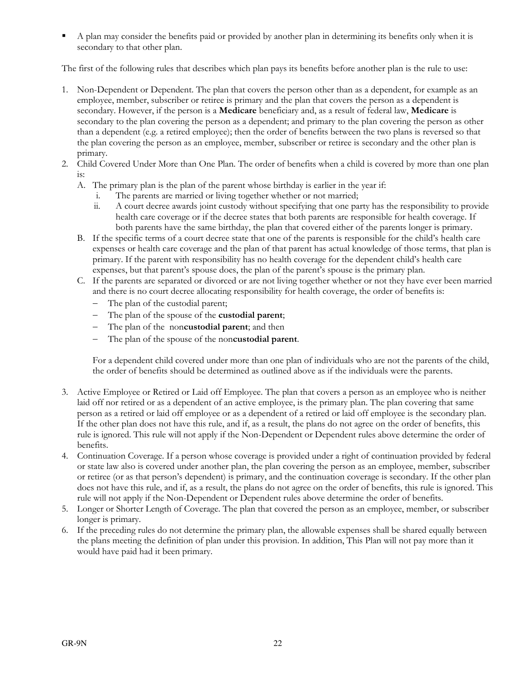A plan may consider the benefits paid or provided by another plan in determining its benefits only when it is secondary to that other plan.

The first of the following rules that describes which plan pays its benefits before another plan is the rule to use:

- 1. Non-Dependent or Dependent. The plan that covers the person other than as a dependent, for example as an employee, member, subscriber or retiree is primary and the plan that covers the person as a dependent is secondary. However, if the person is a **Medicare** beneficiary and, as a result of federal law, **Medicare** is secondary to the plan covering the person as a dependent; and primary to the plan covering the person as other than a dependent (e.g. a retired employee); then the order of benefits between the two plans is reversed so that the plan covering the person as an employee, member, subscriber or retiree is secondary and the other plan is primary.
- 2. Child Covered Under More than One Plan. The order of benefits when a child is covered by more than one plan is:
	- A. The primary plan is the plan of the parent whose birthday is earlier in the year if:
		- i. The parents are married or living together whether or not married;
		- ii. A court decree awards joint custody without specifying that one party has the responsibility to provide health care coverage or if the decree states that both parents are responsible for health coverage. If both parents have the same birthday, the plan that covered either of the parents longer is primary.
	- B. If the specific terms of a court decree state that one of the parents is responsible for the child's health care expenses or health care coverage and the plan of that parent has actual knowledge of those terms, that plan is primary. If the parent with responsibility has no health coverage for the dependent child's health care expenses, but that parent's spouse does, the plan of the parent's spouse is the primary plan.
	- C. If the parents are separated or divorced or are not living together whether or not they have ever been married and there is no court decree allocating responsibility for health coverage, the order of benefits is:
		- The plan of the custodial parent;
		- The plan of the spouse of the **custodial parent**;
		- The plan of the non**custodial parent**; and then
		- The plan of the spouse of the non**custodial parent**.

For a dependent child covered under more than one plan of individuals who are not the parents of the child, the order of benefits should be determined as outlined above as if the individuals were the parents.

- 3. Active Employee or Retired or Laid off Employee. The plan that covers a person as an employee who is neither laid off nor retired or as a dependent of an active employee, is the primary plan. The plan covering that same person as a retired or laid off employee or as a dependent of a retired or laid off employee is the secondary plan. If the other plan does not have this rule, and if, as a result, the plans do not agree on the order of benefits, this rule is ignored. This rule will not apply if the Non-Dependent or Dependent rules above determine the order of benefits.
- 4. Continuation Coverage. If a person whose coverage is provided under a right of continuation provided by federal or state law also is covered under another plan, the plan covering the person as an employee, member, subscriber or retiree (or as that person's dependent) is primary, and the continuation coverage is secondary. If the other plan does not have this rule, and if, as a result, the plans do not agree on the order of benefits, this rule is ignored. This rule will not apply if the Non-Dependent or Dependent rules above determine the order of benefits.
- 5. Longer or Shorter Length of Coverage. The plan that covered the person as an employee, member, or subscriber longer is primary.
- 6. If the preceding rules do not determine the primary plan, the allowable expenses shall be shared equally between the plans meeting the definition of plan under this provision. In addition, This Plan will not pay more than it would have paid had it been primary.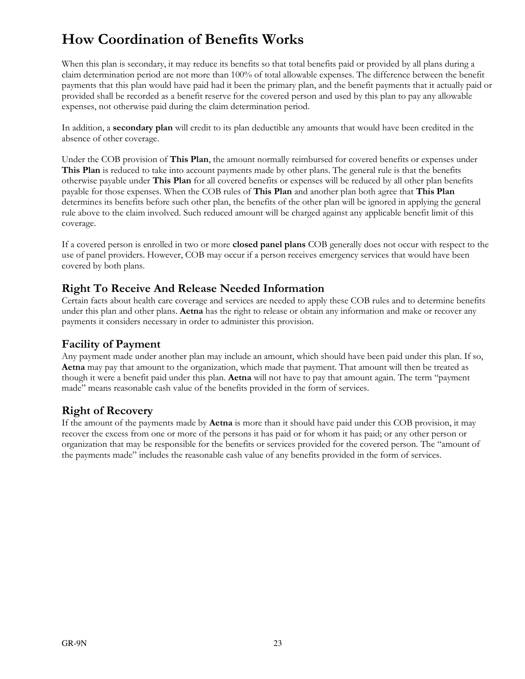# **How Coordination of Benefits Works**

When this plan is secondary, it may reduce its benefits so that total benefits paid or provided by all plans during a claim determination period are not more than 100% of total allowable expenses. The difference between the benefit payments that this plan would have paid had it been the primary plan, and the benefit payments that it actually paid or provided shall be recorded as a benefit reserve for the covered person and used by this plan to pay any allowable expenses, not otherwise paid during the claim determination period.

In addition, a **secondary plan** will credit to its plan deductible any amounts that would have been credited in the absence of other coverage.

Under the COB provision of **This Plan**, the amount normally reimbursed for covered benefits or expenses under **This Plan** is reduced to take into account payments made by other plans. The general rule is that the benefits otherwise payable under **This Plan** for all covered benefits or expenses will be reduced by all other plan benefits payable for those expenses. When the COB rules of **This Plan** and another plan both agree that **This Plan** determines its benefits before such other plan, the benefits of the other plan will be ignored in applying the general rule above to the claim involved. Such reduced amount will be charged against any applicable benefit limit of this coverage.

If a covered person is enrolled in two or more **closed panel plans** COB generally does not occur with respect to the use of panel providers. However, COB may occur if a person receives emergency services that would have been covered by both plans.

# **Right To Receive And Release Needed Information**

Certain facts about health care coverage and services are needed to apply these COB rules and to determine benefits under this plan and other plans. **Aetna** has the right to release or obtain any information and make or recover any payments it considers necessary in order to administer this provision.

# **Facility of Payment**

Any payment made under another plan may include an amount, which should have been paid under this plan. If so, **Aetna** may pay that amount to the organization, which made that payment. That amount will then be treated as though it were a benefit paid under this plan. **Aetna** will not have to pay that amount again. The term "payment made" means reasonable cash value of the benefits provided in the form of services.

## **Right of Recovery**

If the amount of the payments made by **Aetna** is more than it should have paid under this COB provision, it may recover the excess from one or more of the persons it has paid or for whom it has paid; or any other person or organization that may be responsible for the benefits or services provided for the covered person. The "amount of the payments made" includes the reasonable cash value of any benefits provided in the form of services.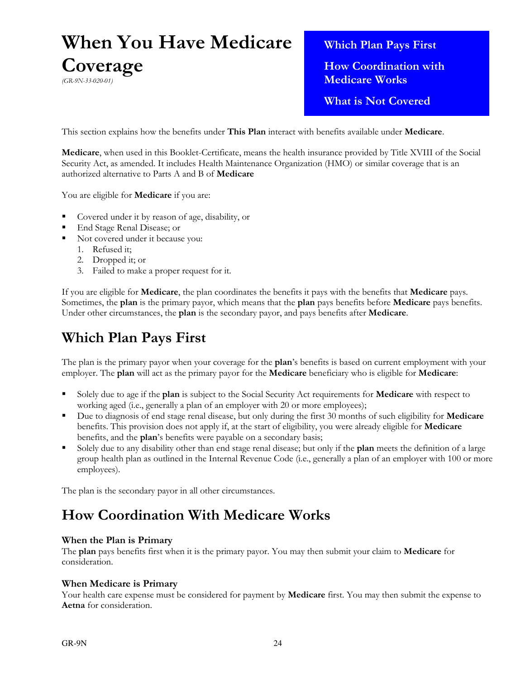# **When You Have Medicare Coverage** *(GR-9N-33-020-01)*

 **Which Plan Pays First**

 **How Coordination with Medicare Works**

 **What is Not Covered**

This section explains how the benefits under **This Plan** interact with benefits available under **Medicare**.

**Medicare**, when used in this Booklet-Certificate, means the health insurance provided by Title XVIII of the Social Security Act, as amended. It includes Health Maintenance Organization (HMO) or similar coverage that is an authorized alternative to Parts A and B of **Medicare**

You are eligible for **Medicare** if you are:

- Covered under it by reason of age, disability, or
- End Stage Renal Disease; or
- Not covered under it because you:
	- 1. Refused it;
	- 2. Dropped it; or
	- 3. Failed to make a proper request for it.

If you are eligible for **Medicare**, the plan coordinates the benefits it pays with the benefits that **Medicare** pays. Sometimes, the **plan** is the primary payor, which means that the **plan** pays benefits before **Medicare** pays benefits. Under other circumstances, the **plan** is the secondary payor, and pays benefits after **Medicare**.

# **Which Plan Pays First**

The plan is the primary payor when your coverage for the **plan**'s benefits is based on current employment with your employer. The **plan** will act as the primary payor for the **Medicare** beneficiary who is eligible for **Medicare**:

- Solely due to age if the **plan** is subject to the Social Security Act requirements for **Medicare** with respect to working aged (i.e., generally a plan of an employer with 20 or more employees);
- Due to diagnosis of end stage renal disease, but only during the first 30 months of such eligibility for **Medicare** benefits. This provision does not apply if, at the start of eligibility, you were already eligible for **Medicare** benefits, and the **plan**'s benefits were payable on a secondary basis;
- Solely due to any disability other than end stage renal disease; but only if the **plan** meets the definition of a large group health plan as outlined in the Internal Revenue Code (i.e., generally a plan of an employer with 100 or more employees).

The plan is the secondary payor in all other circumstances.

# **How Coordination With Medicare Works**

### **When the Plan is Primary**

The **plan** pays benefits first when it is the primary payor. You may then submit your claim to **Medicare** for consideration.

### **When Medicare is Primary**

Your health care expense must be considered for payment by **Medicare** first. You may then submit the expense to **Aetna** for consideration.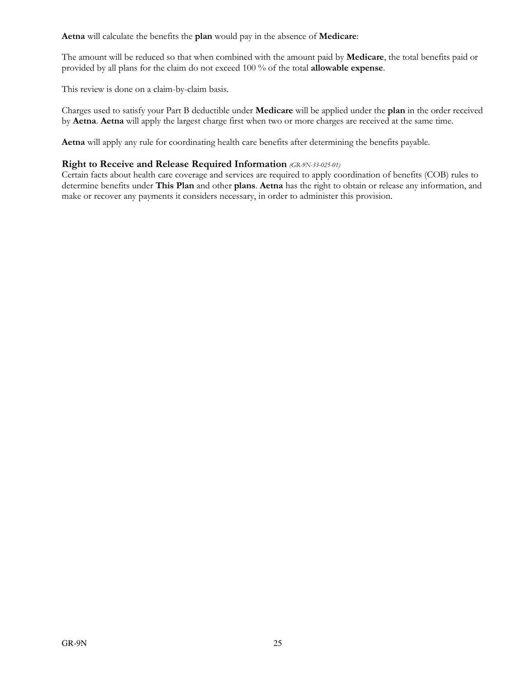**Aetna** will calculate the benefits the **plan** would pay in the absence of **Medicare**:

The amount will be reduced so that when combined with the amount paid by **Medicare**, the total benefits paid or provided by all plans for the claim do not exceed 100 % of the total **allowable expense**.

This review is done on a claim-by-claim basis.

Charges used to satisfy your Part B deductible under **Medicare** will be applied under the **plan** in the order received by **Aetna**. **Aetna** will apply the largest charge first when two or more charges are received at the same time.

**Aetna** will apply any rule for coordinating health care benefits after determining the benefits payable.

### **Right to Receive and Release Required Information** *(GR-9N-33-025-01)*

Certain facts about health care coverage and services are required to apply coordination of benefits (COB) rules to determine benefits under **This Plan** and other **plans**. **Aetna** has the right to obtain or release any information, and make or recover any payments it considers necessary, in order to administer this provision.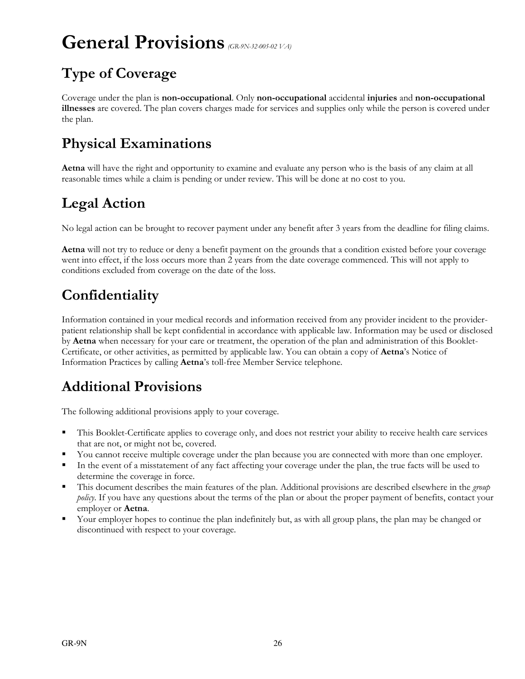# **General Provisions** *(GR-9N-32-005-02 VA)*

# **Type of Coverage**

Coverage under the plan is **non-occupational**. Only **non-occupational** accidental **injuries** and **non-occupational illnesses** are covered. The plan covers charges made for services and supplies only while the person is covered under the plan.

# **Physical Examinations**

**Aetna** will have the right and opportunity to examine and evaluate any person who is the basis of any claim at all reasonable times while a claim is pending or under review. This will be done at no cost to you.

# **Legal Action**

No legal action can be brought to recover payment under any benefit after 3 years from the deadline for filing claims.

**Aetna** will not try to reduce or deny a benefit payment on the grounds that a condition existed before your coverage went into effect, if the loss occurs more than 2 years from the date coverage commenced. This will not apply to conditions excluded from coverage on the date of the loss.

# **Confidentiality**

Information contained in your medical records and information received from any provider incident to the providerpatient relationship shall be kept confidential in accordance with applicable law. Information may be used or disclosed by **Aetna** when necessary for your care or treatment, the operation of the plan and administration of this Booklet-Certificate, or other activities, as permitted by applicable law. You can obtain a copy of **Aetna**'s Notice of Information Practices by calling **Aetna**'s toll-free Member Service telephone.

# **Additional Provisions**

The following additional provisions apply to your coverage.

- This Booklet-Certificate applies to coverage only, and does not restrict your ability to receive health care services that are not, or might not be, covered.
- You cannot receive multiple coverage under the plan because you are connected with more than one employer.
- In the event of a misstatement of any fact affecting your coverage under the plan, the true facts will be used to determine the coverage in force.
- This document describes the main features of the plan. Additional provisions are described elsewhere in the *group policy*. If you have any questions about the terms of the plan or about the proper payment of benefits, contact your employer or **Aetna**.
- Your employer hopes to continue the plan indefinitely but, as with all group plans, the plan may be changed or discontinued with respect to your coverage.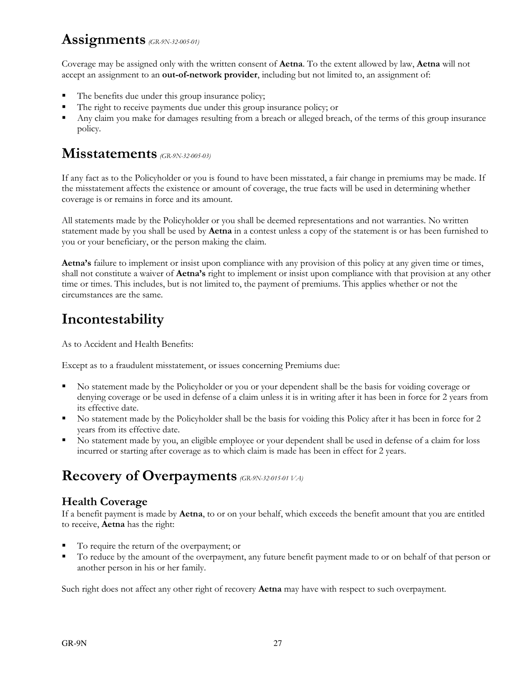# **Assignments** *(GR-9N-32-005-01)*

Coverage may be assigned only with the written consent of **Aetna**. To the extent allowed by law, **Aetna** will not accept an assignment to an **out-of-network provider**, including but not limited to, an assignment of:

- The benefits due under this group insurance policy;
- The right to receive payments due under this group insurance policy; or
- Any claim you make for damages resulting from a breach or alleged breach, of the terms of this group insurance policy.

# **Misstatements** *(GR-9N-32-005-03)*

If any fact as to the Policyholder or you is found to have been misstated, a fair change in premiums may be made. If the misstatement affects the existence or amount of coverage, the true facts will be used in determining whether coverage is or remains in force and its amount.

All statements made by the Policyholder or you shall be deemed representations and not warranties. No written statement made by you shall be used by **Aetna** in a contest unless a copy of the statement is or has been furnished to you or your beneficiary, or the person making the claim.

**Aetna's** failure to implement or insist upon compliance with any provision of this policy at any given time or times, shall not constitute a waiver of **Aetna's** right to implement or insist upon compliance with that provision at any other time or times. This includes, but is not limited to, the payment of premiums. This applies whether or not the circumstances are the same.

# **Incontestability**

As to Accident and Health Benefits:

Except as to a fraudulent misstatement, or issues concerning Premiums due:

- No statement made by the Policyholder or you or your dependent shall be the basis for voiding coverage or denying coverage or be used in defense of a claim unless it is in writing after it has been in force for 2 years from its effective date.
- No statement made by the Policyholder shall be the basis for voiding this Policy after it has been in force for 2 years from its effective date.
- No statement made by you, an eligible employee or your dependent shall be used in defense of a claim for loss incurred or starting after coverage as to which claim is made has been in effect for 2 years.

# **Recovery of Overpayments** *(GR-9N-32-015-01 VA)*

# **Health Coverage**

If a benefit payment is made by **Aetna**, to or on your behalf, which exceeds the benefit amount that you are entitled to receive, **Aetna** has the right:

- To require the return of the overpayment; or
- To reduce by the amount of the overpayment, any future benefit payment made to or on behalf of that person or another person in his or her family.

Such right does not affect any other right of recovery **Aetna** may have with respect to such overpayment.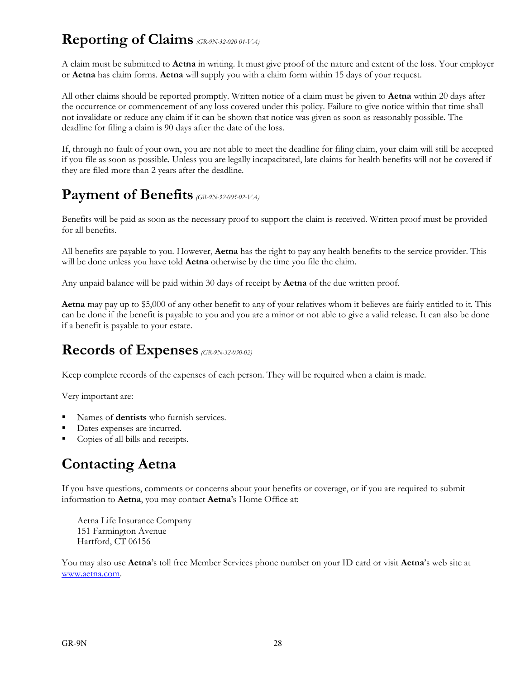# **Reporting of Claims** *(GR-9N-32-020 01-VA)*

A claim must be submitted to **Aetna** in writing. It must give proof of the nature and extent of the loss. Your employer or **Aetna** has claim forms. **Aetna** will supply you with a claim form within 15 days of your request.

All other claims should be reported promptly. Written notice of a claim must be given to **Aetna** within 20 days after the occurrence or commencement of any loss covered under this policy. Failure to give notice within that time shall not invalidate or reduce any claim if it can be shown that notice was given as soon as reasonably possible. The deadline for filing a claim is 90 days after the date of the loss.

If, through no fault of your own, you are not able to meet the deadline for filing claim, your claim will still be accepted if you file as soon as possible. Unless you are legally incapacitated, late claims for health benefits will not be covered if they are filed more than 2 years after the deadline.

# **Payment of Benefits** *(GR-9N-32-005-02-VA)*

Benefits will be paid as soon as the necessary proof to support the claim is received. Written proof must be provided for all benefits.

All benefits are payable to you. However, **Aetna** has the right to pay any health benefits to the service provider. This will be done unless you have told **Aetna** otherwise by the time you file the claim.

Any unpaid balance will be paid within 30 days of receipt by **Aetna** of the due written proof.

**Aetna** may pay up to \$5,000 of any other benefit to any of your relatives whom it believes are fairly entitled to it. This can be done if the benefit is payable to you and you are a minor or not able to give a valid release. It can also be done if a benefit is payable to your estate.

# **Records of Expenses** *(GR-9N-32-030-02)*

Keep complete records of the expenses of each person. They will be required when a claim is made.

Very important are:

- Names of **dentists** who furnish services.
- Dates expenses are incurred.
- Copies of all bills and receipts.

# **Contacting Aetna**

If you have questions, comments or concerns about your benefits or coverage, or if you are required to submit information to **Aetna**, you may contact **Aetna**'s Home Office at:

Aetna Life Insurance Company 151 Farmington Avenue Hartford, CT 06156

You may also use **Aetna**'s toll free Member Services phone number on your ID card or visit **Aetna**'s web site at [www.aetna.com.](http://www.aetna.com/)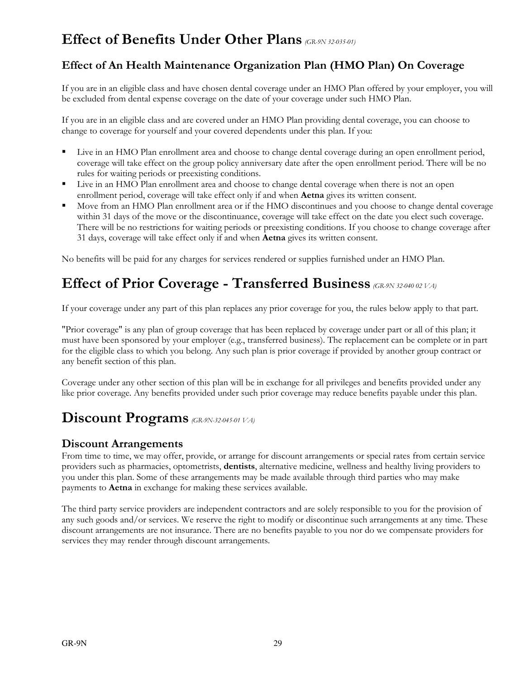# **Effect of Benefits Under Other Plans** *(GR-9N 32-035-01)*

# **Effect of An Health Maintenance Organization Plan (HMO Plan) On Coverage**

If you are in an eligible class and have chosen dental coverage under an HMO Plan offered by your employer, you will be excluded from dental expense coverage on the date of your coverage under such HMO Plan.

If you are in an eligible class and are covered under an HMO Plan providing dental coverage, you can choose to change to coverage for yourself and your covered dependents under this plan. If you:

- Live in an HMO Plan enrollment area and choose to change dental coverage during an open enrollment period, coverage will take effect on the group policy anniversary date after the open enrollment period. There will be no rules for waiting periods or preexisting conditions.
- **I** Live in an HMO Plan enrollment area and choose to change dental coverage when there is not an open enrollment period, coverage will take effect only if and when **Aetna** gives its written consent.
- Move from an HMO Plan enrollment area or if the HMO discontinues and you choose to change dental coverage within 31 days of the move or the discontinuance, coverage will take effect on the date you elect such coverage. There will be no restrictions for waiting periods or preexisting conditions. If you choose to change coverage after 31 days, coverage will take effect only if and when **Aetna** gives its written consent.

No benefits will be paid for any charges for services rendered or supplies furnished under an HMO Plan.

# **Effect of Prior Coverage - Transferred Business** *(GR-9N 32-040 02 VA)*

If your coverage under any part of this plan replaces any prior coverage for you, the rules below apply to that part.

"Prior coverage" is any plan of group coverage that has been replaced by coverage under part or all of this plan; it must have been sponsored by your employer (e.g., transferred business). The replacement can be complete or in part for the eligible class to which you belong. Any such plan is prior coverage if provided by another group contract or any benefit section of this plan.

Coverage under any other section of this plan will be in exchange for all privileges and benefits provided under any like prior coverage. Any benefits provided under such prior coverage may reduce benefits payable under this plan.

# **Discount Programs** *(GR-9N-32-045-01 VA)*

## **Discount Arrangements**

From time to time, we may offer, provide, or arrange for discount arrangements or special rates from certain service providers such as pharmacies, optometrists, **dentists**, alternative medicine, wellness and healthy living providers to you under this plan. Some of these arrangements may be made available through third parties who may make payments to **Aetna** in exchange for making these services available.

The third party service providers are independent contractors and are solely responsible to you for the provision of any such goods and/or services. We reserve the right to modify or discontinue such arrangements at any time. These discount arrangements are not insurance. There are no benefits payable to you nor do we compensate providers for services they may render through discount arrangements.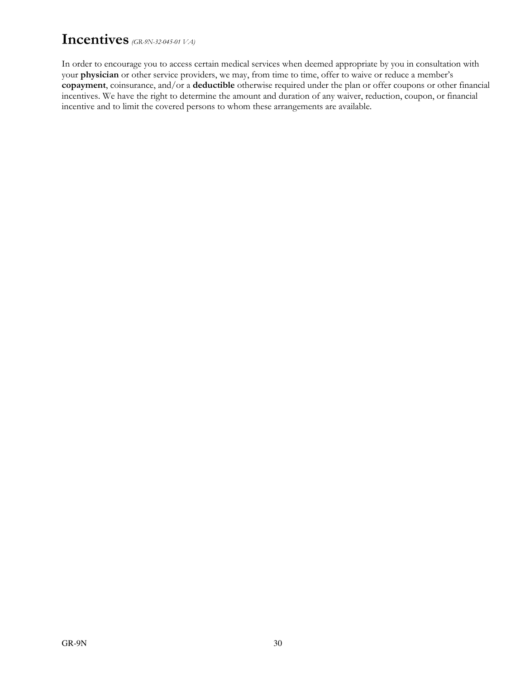# **Incentives** *(GR-9N-32-045-01 VA)*

In order to encourage you to access certain medical services when deemed appropriate by you in consultation with your **physician** or other service providers, we may, from time to time, offer to waive or reduce a member's **copayment**, coinsurance, and/or a **deductible** otherwise required under the plan or offer coupons or other financial incentives. We have the right to determine the amount and duration of any waiver, reduction, coupon, or financial incentive and to limit the covered persons to whom these arrangements are available.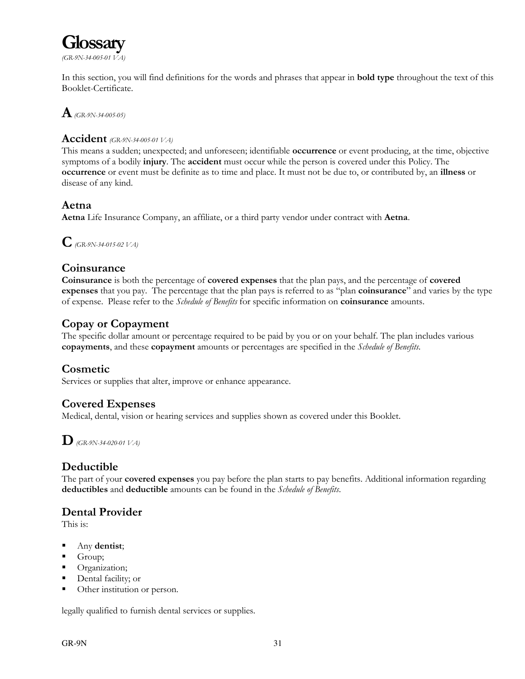

*(GR-9N-34-005-01 VA)*

In this section, you will find definitions for the words and phrases that appear in **bold type** throughout the text of this Booklet-Certificate.

**A***(GR-9N-34-005-05)*

### **Accident** *(GR-9N-34-005-01 VA)*

This means a sudden; unexpected; and unforeseen; identifiable **occurrence** or event producing, at the time, objective symptoms of a bodily **injury**. The **accident** must occur while the person is covered under this Policy. The **occurrence** or event must be definite as to time and place. It must not be due to, or contributed by, an **illness** or disease of any kind.

### **Aetna**

**Aetna** Life Insurance Company, an affiliate, or a third party vendor under contract with **Aetna**.

**C***(GR-9N-34-015-02 VA)*

## **Coinsurance**

**Coinsurance** is both the percentage of **covered expenses** that the plan pays, and the percentage of **covered expenses** that you pay. The percentage that the plan pays is referred to as "plan **coinsurance**" and varies by the type of expense. Please refer to the *Schedule of Benefits* for specific information on **coinsurance** amounts.

## **Copay or Copayment**

The specific dollar amount or percentage required to be paid by you or on your behalf. The plan includes various **copayments**, and these **copayment** amounts or percentages are specified in the *Schedule of Benefits*.

### **Cosmetic**

Services or supplies that alter, improve or enhance appearance.

## **Covered Expenses**

Medical, dental, vision or hearing services and supplies shown as covered under this Booklet.

**D***(GR-9N-34-020-01 VA)*

## **Deductible**

The part of your **covered expenses** you pay before the plan starts to pay benefits. Additional information regarding **deductibles** and **deductible** amounts can be found in the *Schedule of Benefits*.

### **Dental Provider**

This is:

- Any **dentist**;
- Group;
- **C**reanization;
- Dental facility; or
- Other institution or person.

legally qualified to furnish dental services or supplies.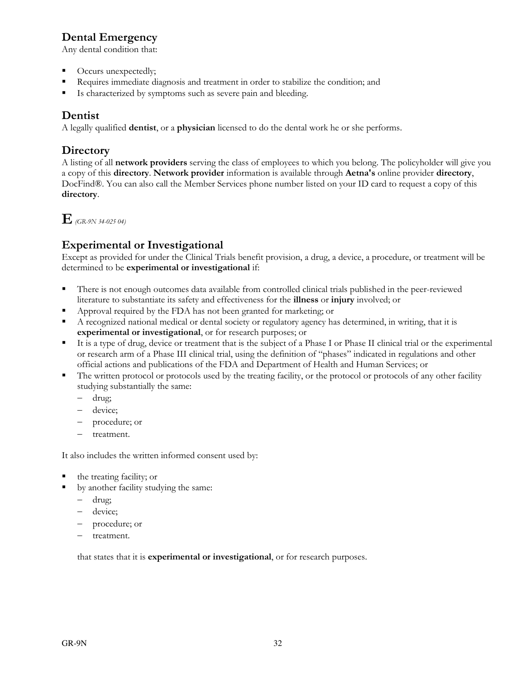# **Dental Emergency**

Any dental condition that:

- Occurs unexpectedly;
- Requires immediate diagnosis and treatment in order to stabilize the condition; and
- Is characterized by symptoms such as severe pain and bleeding.

## **Dentist**

A legally qualified **dentist**, or a **physician** licensed to do the dental work he or she performs.

## **Directory**

A listing of all **network providers** serving the class of employees to which you belong. The policyholder will give you a copy of this **directory**. **Network provider** information is available through **Aetna's** online provider **directory**, DocFind®. You can also call the Member Services phone number listed on your ID card to request a copy of this **directory**.

**E** *(GR-9N 34-025 04)*

## **Experimental or Investigational**

Except as provided for under the Clinical Trials benefit provision, a drug, a device, a procedure, or treatment will be determined to be **experimental or investigational** if:

- There is not enough outcomes data available from controlled clinical trials published in the peer-reviewed literature to substantiate its safety and effectiveness for the **illness** or **injury** involved; or
- Approval required by the FDA has not been granted for marketing; or
- A recognized national medical or dental society or regulatory agency has determined, in writing, that it is **experimental or investigational**, or for research purposes; or
- It is a type of drug, device or treatment that is the subject of a Phase I or Phase II clinical trial or the experimental or research arm of a Phase III clinical trial, using the definition of "phases" indicated in regulations and other official actions and publications of the FDA and Department of Health and Human Services; or
- The written protocol or protocols used by the treating facility, or the protocol or protocols of any other facility studying substantially the same:
	- drug;
	- device;
	- procedure; or
	- treatment.

It also includes the written informed consent used by:

- the treating facility; or
- by another facility studying the same:
	- drug;
	- device;
	- procedure; or
	- treatment.

that states that it is **experimental or investigational**, or for research purposes.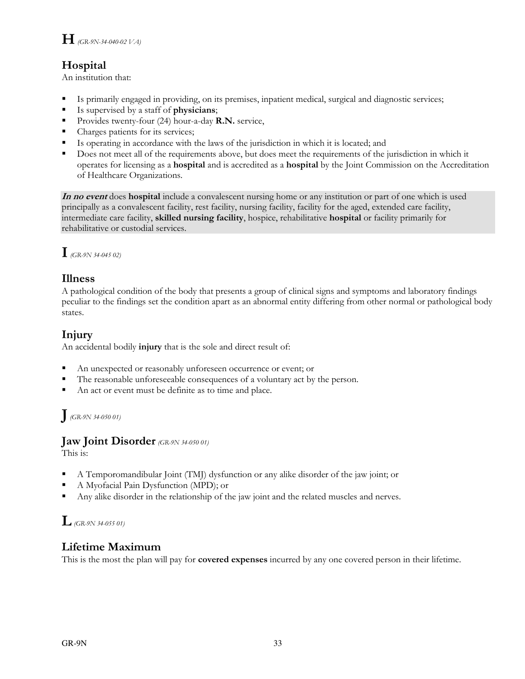# **Hospital**

An institution that:

- Is primarily engaged in providing, on its premises, inpatient medical, surgical and diagnostic services;
- Is supervised by a staff of **physicians**;
- Provides twenty-four (24) hour-a-day **R.N.** service,
- Charges patients for its services;
- Is operating in accordance with the laws of the jurisdiction in which it is located; and
- Does not meet all of the requirements above, but does meet the requirements of the jurisdiction in which it operates for licensing as a **hospital** and is accredited as a **hospital** by the Joint Commission on the Accreditation of Healthcare Organizations.

**In no event** does **hospital** include a convalescent nursing home or any institution or part of one which is used principally as a convalescent facility, rest facility, nursing facility, facility for the aged, extended care facility, intermediate care facility, **skilled nursing facility**, hospice, rehabilitative **hospital** or facility primarily for rehabilitative or custodial services.

## **I***(GR-9N 34-045 02)*

## **Illness**

A pathological condition of the body that presents a group of clinical signs and symptoms and laboratory findings peculiar to the findings set the condition apart as an abnormal entity differing from other normal or pathological body states.

# **Injury**

An accidental bodily **injury** that is the sole and direct result of:

- An unexpected or reasonably unforeseen occurrence or event; or
- The reasonable unforeseeable consequences of a voluntary act by the person.
- An act or event must be definite as to time and place.

# **J***(GR-9N 34-050 01)*

## **Jaw Joint Disorder** *(GR-9N 34-050 01)*

This is:

- A Temporomandibular Joint (TMJ) dysfunction or any alike disorder of the jaw joint; or
- A Myofacial Pain Dysfunction (MPD); or
- Any alike disorder in the relationship of the jaw joint and the related muscles and nerves.

# **L***(GR-9N 34-055 01)*

# **Lifetime Maximum**

This is the most the plan will pay for **covered expenses** incurred by any one covered person in their lifetime.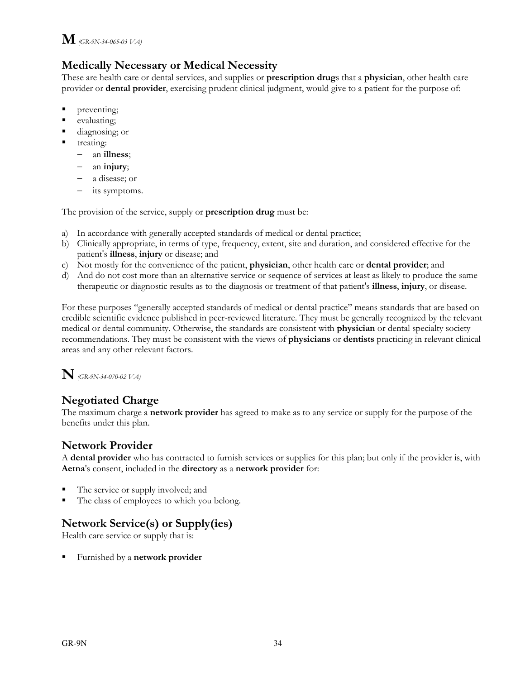# **Medically Necessary or Medical Necessity**

These are health care or dental services, and supplies or **prescription drug**s that a **physician**, other health care provider or **dental provider**, exercising prudent clinical judgment, would give to a patient for the purpose of:

- preventing;
- evaluating;
- diagnosing; or
- treating:
	- an **illness**;
	- an **injury**;
	- a disease; or
	- its symptoms.

The provision of the service, supply or **prescription drug** must be:

- a) In accordance with generally accepted standards of medical or dental practice;
- b) Clinically appropriate, in terms of type, frequency, extent, site and duration, and considered effective for the patient's **illness**, **injury** or disease; and
- c) Not mostly for the convenience of the patient, **physician**, other health care or **dental provider**; and
- d) And do not cost more than an alternative service or sequence of services at least as likely to produce the same therapeutic or diagnostic results as to the diagnosis or treatment of that patient's **illness**, **injury**, or disease.

For these purposes "generally accepted standards of medical or dental practice" means standards that are based on credible scientific evidence published in peer-reviewed literature. They must be generally recognized by the relevant medical or dental community. Otherwise, the standards are consistent with **physician** or dental specialty society recommendations. They must be consistent with the views of **physicians** or **dentists** practicing in relevant clinical areas and any other relevant factors.

# **N** *(GR-9N-34-070-02 VA)*

# **Negotiated Charge**

The maximum charge a **network provider** has agreed to make as to any service or supply for the purpose of the benefits under this plan.

# **Network Provider**

A **dental provider** who has contracted to furnish services or supplies for this plan; but only if the provider is, with **Aetna**'s consent, included in the **directory** as a **network provider** for:

- The service or supply involved; and
- The class of employees to which you belong.

# **Network Service(s) or Supply(ies)**

Health care service or supply that is:

Furnished by a **network provider**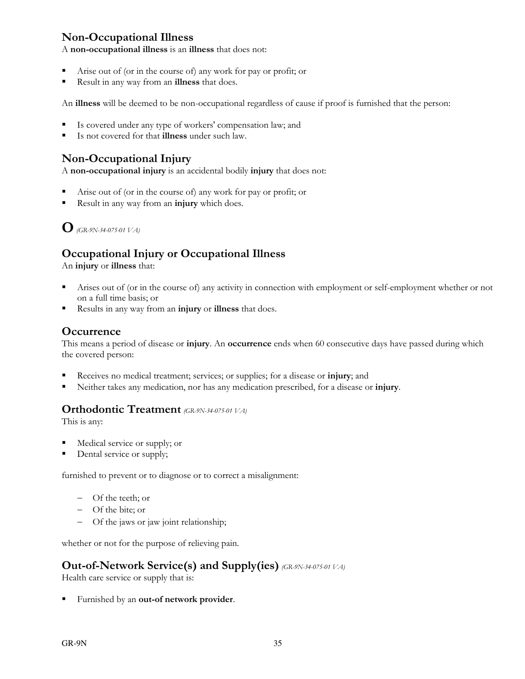## **Non-Occupational Illness**

A **non-occupational illness** is an **illness** that does not:

- Arise out of (or in the course of) any work for pay or profit; or
- Result in any way from an **illness** that does.

An **illness** will be deemed to be non-occupational regardless of cause if proof is furnished that the person:

- Is covered under any type of workers' compensation law; and
- Is not covered for that **illness** under such law.

## **Non-Occupational Injury**

A **non-occupational injury** is an accidental bodily **injury** that does not:

- Arise out of (or in the course of) any work for pay or profit; or
- Result in any way from an **injury** which does.

# **O***(GR-9N-34-075-01 VA)*

# **Occupational Injury or Occupational Illness**

An **injury** or **illness** that:

- Arises out of (or in the course of) any activity in connection with employment or self-employment whether or not on a full time basis; or
- Results in any way from an **injury** or **illness** that does.

## **Occurrence**

This means a period of disease or **injury**. An **occurrence** ends when 60 consecutive days have passed during which the covered person:

- Receives no medical treatment; services; or supplies; for a disease or **injury**; and
- Neither takes any medication, nor has any medication prescribed, for a disease or **injury**.

### **Orthodontic Treatment** *(GR-9N-34-075-01 VA)*

This is any:

- Medical service or supply; or
- Dental service or supply;

furnished to prevent or to diagnose or to correct a misalignment:

- Of the teeth; or
- Of the bite; or
- Of the jaws or jaw joint relationship;

whether or not for the purpose of relieving pain.

## **Out-of-Network Service(s) and Supply(ies)** *(GR-9N-34-075-01 VA)*

Health care service or supply that is:

Furnished by an **out-of network provider**.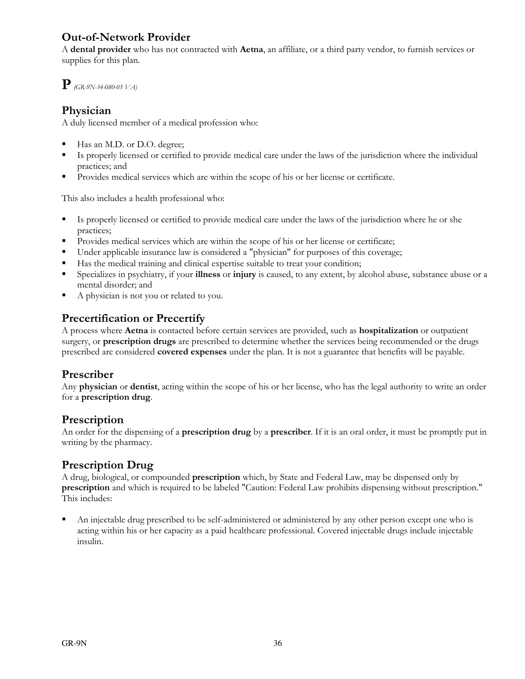# **Out-of-Network Provider**

A **dental provider** who has not contracted with **Aetna**, an affiliate, or a third party vendor, to furnish services or supplies for this plan.

 ${\bf P}$  (GR-9N-34-080-05 VA)

## **Physician**

A duly licensed member of a medical profession who:

- Has an M.D. or D.O. degree;
- Is properly licensed or certified to provide medical care under the laws of the jurisdiction where the individual practices; and
- Provides medical services which are within the scope of his or her license or certificate.

This also includes a health professional who:

- Is properly licensed or certified to provide medical care under the laws of the jurisdiction where he or she practices;
- Provides medical services which are within the scope of his or her license or certificate;
- Under applicable insurance law is considered a "physician" for purposes of this coverage;
- Has the medical training and clinical expertise suitable to treat your condition;
- Specializes in psychiatry, if your **illness** or **injury** is caused, to any extent, by alcohol abuse, substance abuse or a mental disorder; and
- A physician is not you or related to you.

## **Precertification or Precertify**

A process where **Aetna** is contacted before certain services are provided, such as **hospitalization** or outpatient surgery, or **prescription drugs** are prescribed to determine whether the services being recommended or the drugs prescribed are considered **covered expenses** under the plan. It is not a guarantee that benefits will be payable.

## **Prescriber**

Any **physician** or **dentist**, acting within the scope of his or her license, who has the legal authority to write an order for a **prescription drug**.

## **Prescription**

An order for the dispensing of a **prescription drug** by a **prescriber**. If it is an oral order, it must be promptly put in writing by the pharmacy.

## **Prescription Drug**

A drug, biological, or compounded **prescription** which, by State and Federal Law, may be dispensed only by **prescription** and which is required to be labeled "Caution: Federal Law prohibits dispensing without prescription." This includes:

 An injectable drug prescribed to be self-administered or administered by any other person except one who is acting within his or her capacity as a paid healthcare professional. Covered injectable drugs include injectable insulin.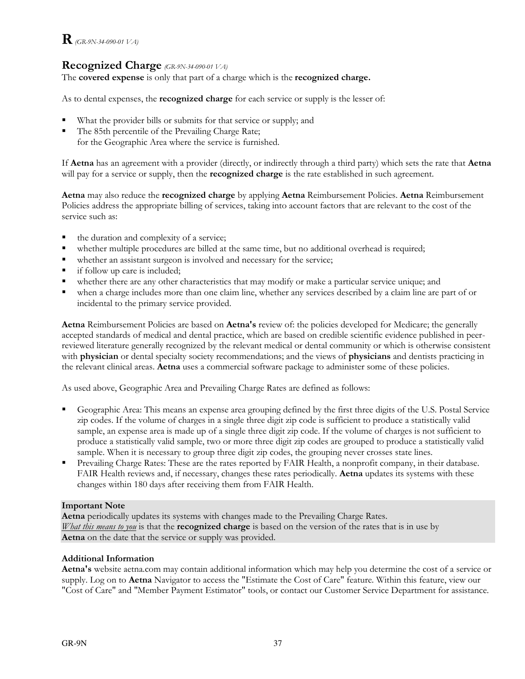# **R***(GR-9N-34-090-01 VA)*

## **Recognized Charge** *(GR-9N-34-090-01 VA)*

The **covered expense** is only that part of a charge which is the **recognized charge.**

As to dental expenses, the **recognized charge** for each service or supply is the lesser of:

- What the provider bills or submits for that service or supply; and
- The 85th percentile of the Prevailing Charge Rate; for the Geographic Area where the service is furnished.

If **Aetna** has an agreement with a provider (directly, or indirectly through a third party) which sets the rate that **Aetna** will pay for a service or supply, then the **recognized charge** is the rate established in such agreement.

**Aetna** may also reduce the **recognized charge** by applying **Aetna** Reimbursement Policies. **Aetna** Reimbursement Policies address the appropriate billing of services, taking into account factors that are relevant to the cost of the service such as:

- the duration and complexity of a service;
- whether multiple procedures are billed at the same time, but no additional overhead is required;
- whether an assistant surgeon is involved and necessary for the service;
- if follow up care is included;
- whether there are any other characteristics that may modify or make a particular service unique; and
- when a charge includes more than one claim line, whether any services described by a claim line are part of or incidental to the primary service provided.

**Aetna** Reimbursement Policies are based on **Aetna's** review of: the policies developed for Medicare; the generally accepted standards of medical and dental practice, which are based on credible scientific evidence published in peerreviewed literature generally recognized by the relevant medical or dental community or which is otherwise consistent with **physician** or dental specialty society recommendations; and the views of **physicians** and dentists practicing in the relevant clinical areas. **Aetna** uses a commercial software package to administer some of these policies.

As used above, Geographic Area and Prevailing Charge Rates are defined as follows:

- Geographic Area: This means an expense area grouping defined by the first three digits of the U.S. Postal Service zip codes. If the volume of charges in a single three digit zip code is sufficient to produce a statistically valid sample, an expense area is made up of a single three digit zip code. If the volume of charges is not sufficient to produce a statistically valid sample, two or more three digit zip codes are grouped to produce a statistically valid sample. When it is necessary to group three digit zip codes, the grouping never crosses state lines.
- Prevailing Charge Rates: These are the rates reported by FAIR Health, a nonprofit company, in their database. FAIR Health reviews and, if necessary, changes these rates periodically. **Aetna** updates its systems with these changes within 180 days after receiving them from FAIR Health.

### **Important Note**

**Aetna** periodically updates its systems with changes made to the Prevailing Charge Rates. *What this means to you* is that the **recognized charge** is based on the version of the rates that is in use by **Aetna** on the date that the service or supply was provided.

### **Additional Information**

**Aetna's** website aetna.com may contain additional information which may help you determine the cost of a service or supply. Log on to **Aetna** Navigator to access the "Estimate the Cost of Care" feature. Within this feature, view our "Cost of Care" and "Member Payment Estimator" tools, or contact our Customer Service Department for assistance.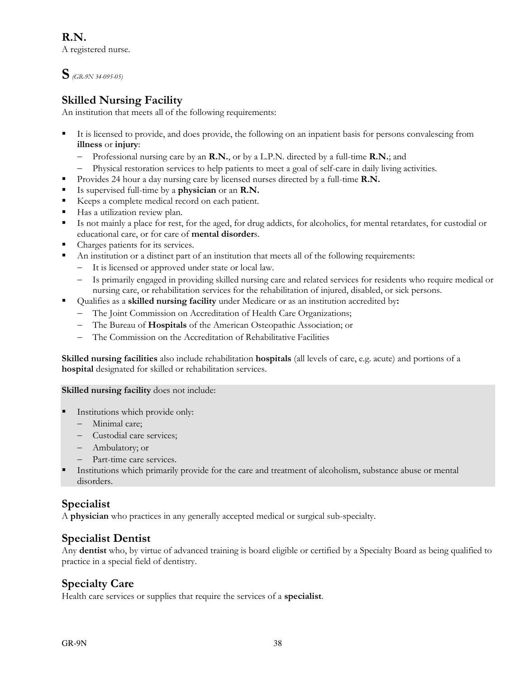**R.N.**

A registered nurse.

**S** *(GR-9N 34-095-05)*

# **Skilled Nursing Facility**

An institution that meets all of the following requirements:

- It is licensed to provide, and does provide, the following on an inpatient basis for persons convalescing from **illness** or **injury**:
	- Professional nursing care by an **R.N.**, or by a L.P.N. directed by a full-time **R.N.**; and
	- Physical restoration services to help patients to meet a goal of self-care in daily living activities.
- Provides 24 hour a day nursing care by licensed nurses directed by a full-time **R.N.**
- Is supervised full-time by a **physician** or an **R.N.**
- Keeps a complete medical record on each patient.
- Has a utilization review plan.
- Is not mainly a place for rest, for the aged, for drug addicts, for alcoholics, for mental retardates, for custodial or educational care, or for care of **mental disorder**s.
- Charges patients for its services.
- An institution or a distinct part of an institution that meets all of the following requirements:
	- It is licensed or approved under state or local law.
	- Is primarily engaged in providing skilled nursing care and related services for residents who require medical or nursing care, or rehabilitation services for the rehabilitation of injured, disabled, or sick persons.
- Qualifies as a **skilled nursing facility** under Medicare or as an institution accredited by**:**
	- The Joint Commission on Accreditation of Health Care Organizations;
	- The Bureau of **Hospitals** of the American Osteopathic Association; or
	- The Commission on the Accreditation of Rehabilitative Facilities

**Skilled nursing facilities** also include rehabilitation **hospitals** (all levels of care, e.g. acute) and portions of a **hospital** designated for skilled or rehabilitation services.

### **Skilled nursing facility** does not include:

- Institutions which provide only:
	- Minimal care;
	- Custodial care services;
	- Ambulatory; or
	- Part-time care services.
- Institutions which primarily provide for the care and treatment of alcoholism, substance abuse or mental disorders.

## **Specialist**

A **physician** who practices in any generally accepted medical or surgical sub-specialty.

## **Specialist Dentist**

Any **dentist** who, by virtue of advanced training is board eligible or certified by a Specialty Board as being qualified to practice in a special field of dentistry.

## **Specialty Care**

Health care services or supplies that require the services of a **specialist**.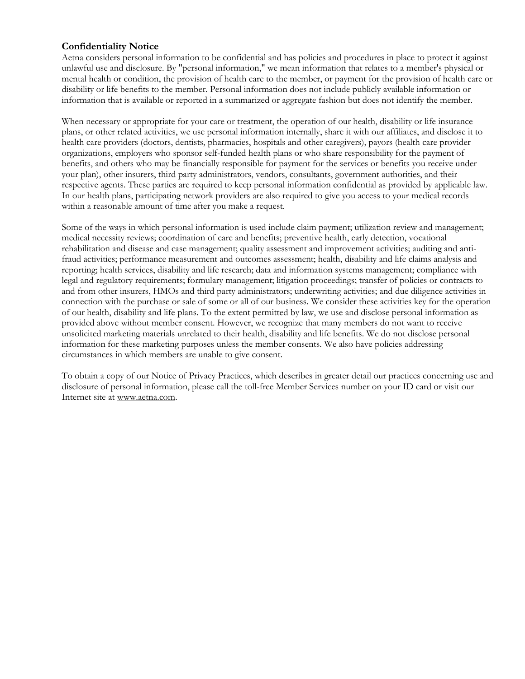### **Confidentiality Notice**

Aetna considers personal information to be confidential and has policies and procedures in place to protect it against unlawful use and disclosure. By "personal information," we mean information that relates to a member's physical or mental health or condition, the provision of health care to the member, or payment for the provision of health care or disability or life benefits to the member. Personal information does not include publicly available information or information that is available or reported in a summarized or aggregate fashion but does not identify the member.

When necessary or appropriate for your care or treatment, the operation of our health, disability or life insurance plans, or other related activities, we use personal information internally, share it with our affiliates, and disclose it to health care providers (doctors, dentists, pharmacies, hospitals and other caregivers), payors (health care provider organizations, employers who sponsor self-funded health plans or who share responsibility for the payment of benefits, and others who may be financially responsible for payment for the services or benefits you receive under your plan), other insurers, third party administrators, vendors, consultants, government authorities, and their respective agents. These parties are required to keep personal information confidential as provided by applicable law. In our health plans, participating network providers are also required to give you access to your medical records within a reasonable amount of time after you make a request.

Some of the ways in which personal information is used include claim payment; utilization review and management; medical necessity reviews; coordination of care and benefits; preventive health, early detection, vocational rehabilitation and disease and case management; quality assessment and improvement activities; auditing and antifraud activities; performance measurement and outcomes assessment; health, disability and life claims analysis and reporting; health services, disability and life research; data and information systems management; compliance with legal and regulatory requirements; formulary management; litigation proceedings; transfer of policies or contracts to and from other insurers, HMOs and third party administrators; underwriting activities; and due diligence activities in connection with the purchase or sale of some or all of our business. We consider these activities key for the operation of our health, disability and life plans. To the extent permitted by law, we use and disclose personal information as provided above without member consent. However, we recognize that many members do not want to receive unsolicited marketing materials unrelated to their health, disability and life benefits. We do not disclose personal information for these marketing purposes unless the member consents. We also have policies addressing circumstances in which members are unable to give consent.

To obtain a copy of our Notice of Privacy Practices, which describes in greater detail our practices concerning use and disclosure of personal information, please call the toll-free Member Services number on your ID card or visit our Internet site at www.aetna.com.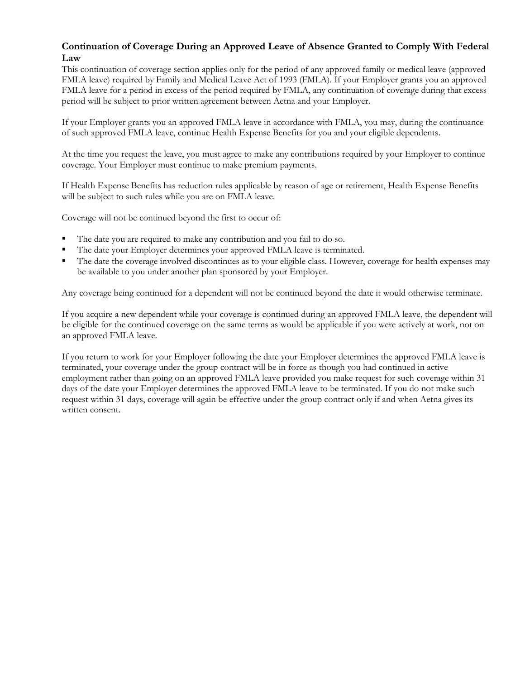### **Continuation of Coverage During an Approved Leave of Absence Granted to Comply With Federal Law**

This continuation of coverage section applies only for the period of any approved family or medical leave (approved FMLA leave) required by Family and Medical Leave Act of 1993 (FMLA). If your Employer grants you an approved FMLA leave for a period in excess of the period required by FMLA, any continuation of coverage during that excess period will be subject to prior written agreement between Aetna and your Employer.

If your Employer grants you an approved FMLA leave in accordance with FMLA, you may, during the continuance of such approved FMLA leave, continue Health Expense Benefits for you and your eligible dependents.

At the time you request the leave, you must agree to make any contributions required by your Employer to continue coverage. Your Employer must continue to make premium payments.

If Health Expense Benefits has reduction rules applicable by reason of age or retirement, Health Expense Benefits will be subject to such rules while you are on FMLA leave.

Coverage will not be continued beyond the first to occur of:

- The date you are required to make any contribution and you fail to do so.
- The date your Employer determines your approved FMLA leave is terminated.
- The date the coverage involved discontinues as to your eligible class. However, coverage for health expenses may be available to you under another plan sponsored by your Employer.

Any coverage being continued for a dependent will not be continued beyond the date it would otherwise terminate.

If you acquire a new dependent while your coverage is continued during an approved FMLA leave, the dependent will be eligible for the continued coverage on the same terms as would be applicable if you were actively at work, not on an approved FMLA leave.

If you return to work for your Employer following the date your Employer determines the approved FMLA leave is terminated, your coverage under the group contract will be in force as though you had continued in active employment rather than going on an approved FMLA leave provided you make request for such coverage within 31 days of the date your Employer determines the approved FMLA leave to be terminated. If you do not make such request within 31 days, coverage will again be effective under the group contract only if and when Aetna gives its written consent.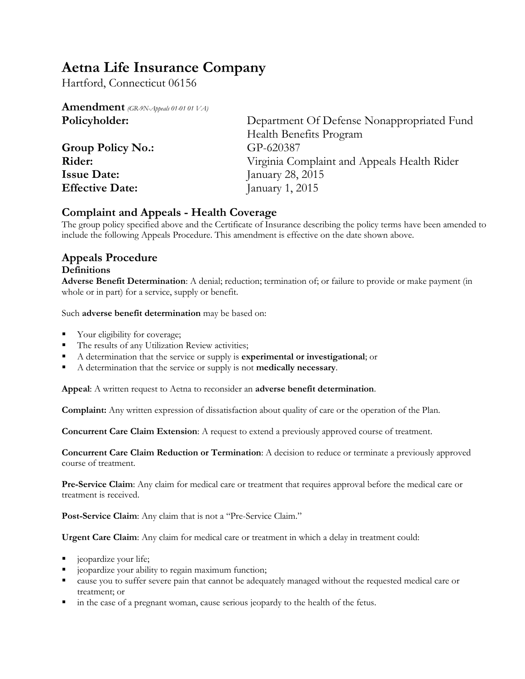# **Aetna Life Insurance Company**

Hartford, Connecticut 06156

| <b>Amendment</b> (GR-9N-Appeals 01-01 01 VA) |                                             |
|----------------------------------------------|---------------------------------------------|
| Policyholder:                                | Department Of Defense Nonappropriated Fund  |
|                                              | Health Benefits Program                     |
| <b>Group Policy No.:</b>                     | GP-620387                                   |
| Rider:                                       | Virginia Complaint and Appeals Health Rider |
| <b>Issue Date:</b>                           | January 28, 2015                            |
| <b>Effective Date:</b>                       | January 1, 2015                             |
|                                              |                                             |

## **Complaint and Appeals - Health Coverage**

The group policy specified above and the Certificate of Insurance describing the policy terms have been amended to include the following Appeals Procedure. This amendment is effective on the date shown above.

### **Appeals Procedure Definitions**

**Adverse Benefit Determination**: A denial; reduction; termination of; or failure to provide or make payment (in whole or in part) for a service, supply or benefit.

Such **adverse benefit determination** may be based on:

- Your eligibility for coverage;
- The results of any Utilization Review activities;
- A determination that the service or supply is **experimental or investigational**; or
- A determination that the service or supply is not **medically necessary**.

**Appeal**: A written request to Aetna to reconsider an **adverse benefit determination**.

**Complaint:** Any written expression of dissatisfaction about quality of care or the operation of the Plan.

**Concurrent Care Claim Extension**: A request to extend a previously approved course of treatment.

**Concurrent Care Claim Reduction or Termination**: A decision to reduce or terminate a previously approved course of treatment.

**Pre-Service Claim**: Any claim for medical care or treatment that requires approval before the medical care or treatment is received.

**Post-Service Claim**: Any claim that is not a "Pre-Service Claim."

**Urgent Care Claim**: Any claim for medical care or treatment in which a delay in treatment could:

- jeopardize your life;
- jeopardize your ability to regain maximum function;
- cause you to suffer severe pain that cannot be adequately managed without the requested medical care or treatment; or
- in the case of a pregnant woman, cause serious jeopardy to the health of the fetus.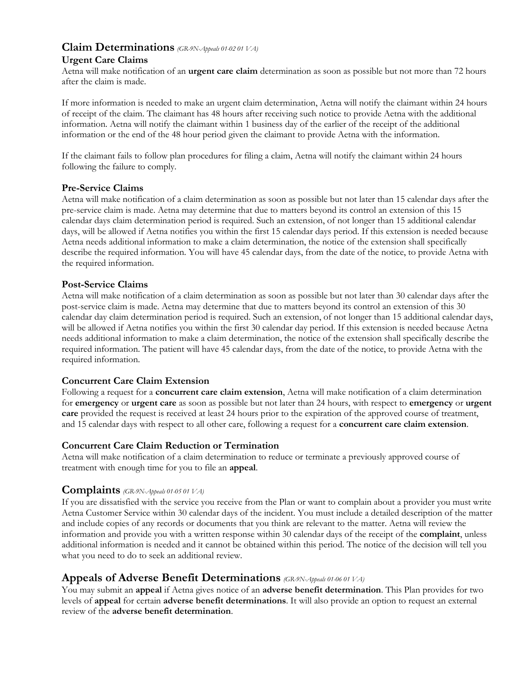# **Claim Determinations** *(GR-9N-Appeals 01-02 <sup>01</sup> VA)*

### **Urgent Care Claims**

Aetna will make notification of an **urgent care claim** determination as soon as possible but not more than 72 hours after the claim is made.

If more information is needed to make an urgent claim determination, Aetna will notify the claimant within 24 hours of receipt of the claim. The claimant has 48 hours after receiving such notice to provide Aetna with the additional information. Aetna will notify the claimant within 1 business day of the earlier of the receipt of the additional information or the end of the 48 hour period given the claimant to provide Aetna with the information.

If the claimant fails to follow plan procedures for filing a claim, Aetna will notify the claimant within 24 hours following the failure to comply.

### **Pre-Service Claims**

Aetna will make notification of a claim determination as soon as possible but not later than 15 calendar days after the pre-service claim is made. Aetna may determine that due to matters beyond its control an extension of this 15 calendar days claim determination period is required. Such an extension, of not longer than 15 additional calendar days, will be allowed if Aetna notifies you within the first 15 calendar days period. If this extension is needed because Aetna needs additional information to make a claim determination, the notice of the extension shall specifically describe the required information. You will have 45 calendar days, from the date of the notice, to provide Aetna with the required information.

### **Post-Service Claims**

Aetna will make notification of a claim determination as soon as possible but not later than 30 calendar days after the post-service claim is made. Aetna may determine that due to matters beyond its control an extension of this 30 calendar day claim determination period is required. Such an extension, of not longer than 15 additional calendar days, will be allowed if Aetna notifies you within the first 30 calendar day period. If this extension is needed because Aetna needs additional information to make a claim determination, the notice of the extension shall specifically describe the required information. The patient will have 45 calendar days, from the date of the notice, to provide Aetna with the required information.

### **Concurrent Care Claim Extension**

Following a request for a **concurrent care claim extension**, Aetna will make notification of a claim determination for **emergency** or **urgent care** as soon as possible but not later than 24 hours, with respect to **emergency** or **urgent care** provided the request is received at least 24 hours prior to the expiration of the approved course of treatment, and 15 calendar days with respect to all other care, following a request for a **concurrent care claim extension**.

### **Concurrent Care Claim Reduction or Termination**

Aetna will make notification of a claim determination to reduce or terminate a previously approved course of treatment with enough time for you to file an **appeal**.

### **Complaints** *(GR-9N-Appeals 01-05 <sup>01</sup> VA)*

If you are dissatisfied with the service you receive from the Plan or want to complain about a provider you must write Aetna Customer Service within 30 calendar days of the incident. You must include a detailed description of the matter and include copies of any records or documents that you think are relevant to the matter. Aetna will review the information and provide you with a written response within 30 calendar days of the receipt of the **complaint**, unless additional information is needed and it cannot be obtained within this period. The notice of the decision will tell you what you need to do to seek an additional review.

### **Appeals of Adverse Benefit Determinations** *(GR-9N-Appeals 01-06 <sup>01</sup> VA)*

You may submit an **appeal** if Aetna gives notice of an **adverse benefit determination**. This Plan provides for two levels of **appeal** for certain **adverse benefit determinations**. It will also provide an option to request an external review of the **adverse benefit determination**.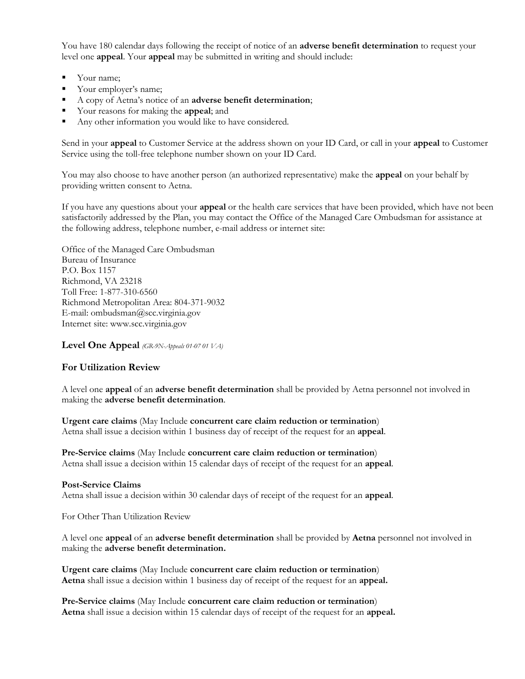You have 180 calendar days following the receipt of notice of an **adverse benefit determination** to request your level one **appeal**. Your **appeal** may be submitted in writing and should include:

- Your name;
- Vour employer's name;
- A copy of Aetna's notice of an **adverse benefit determination**;
- Your reasons for making the **appeal**; and
- Any other information you would like to have considered.

Send in your **appeal** to Customer Service at the address shown on your ID Card, or call in your **appeal** to Customer Service using the toll-free telephone number shown on your ID Card.

You may also choose to have another person (an authorized representative) make the **appeal** on your behalf by providing written consent to Aetna.

If you have any questions about your **appeal** or the health care services that have been provided, which have not been satisfactorily addressed by the Plan, you may contact the Office of the Managed Care Ombudsman for assistance at the following address, telephone number, e-mail address or internet site:

Office of the Managed Care Ombudsman Bureau of Insurance P.O. Box 1157 Richmond, VA 23218 Toll Free: 1-877-310-6560 Richmond Metropolitan Area: 804-371-9032 E-mail: ombudsman@scc.virginia.gov Internet site: www.scc.virginia.gov

**Level One Appeal** *(GR-9N-Appeals 01-07 <sup>01</sup> VA)*

### **For Utilization Review**

A level one **appeal** of an **adverse benefit determination** shall be provided by Aetna personnel not involved in making the **adverse benefit determination**.

**Urgent care claims** (May Include **concurrent care claim reduction or termination**) Aetna shall issue a decision within 1 business day of receipt of the request for an **appeal**.

**Pre-Service claims** (May Include **concurrent care claim reduction or termination**) Aetna shall issue a decision within 15 calendar days of receipt of the request for an **appeal**.

**Post-Service Claims** Aetna shall issue a decision within 30 calendar days of receipt of the request for an **appeal**.

For Other Than Utilization Review

A level one **appeal** of an **adverse benefit determination** shall be provided by **Aetna** personnel not involved in making the **adverse benefit determination.**

**Urgent care claims** (May Include **concurrent care claim reduction or termination**) **Aetna** shall issue a decision within 1 business day of receipt of the request for an **appeal.**

**Pre-Service claims** (May Include **concurrent care claim reduction or termination**) **Aetna** shall issue a decision within 15 calendar days of receipt of the request for an **appeal.**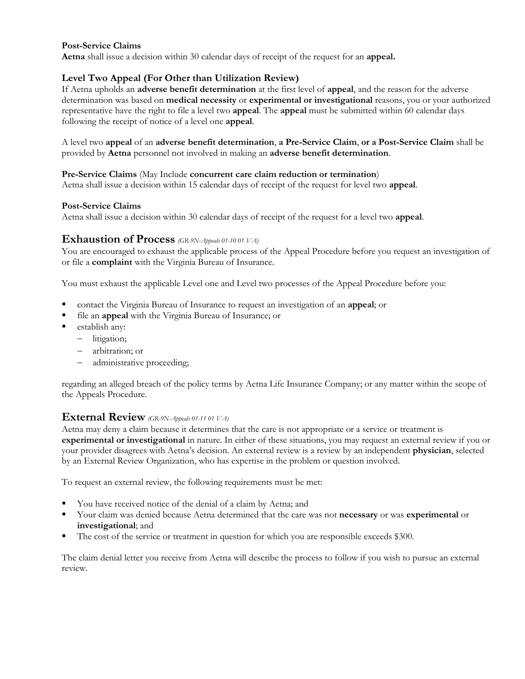### **Post-Service Claims**

**Aetna** shall issue a decision within 30 calendar days of receipt of the request for an **appeal.**

### **Level Two Appeal (For Other than Utilization Review)**

If Aetna upholds an **adverse benefit determination** at the first level of **appeal**, and the reason for the adverse determination was based on **medical necessity** or **experimental or investigational** reasons, you or your authorized representative have the right to file a level two **appeal**. The **appeal** must be submitted within 60 calendar days following the receipt of notice of a level one **appeal**.

A level two **appeal** of an **adverse benefit determination**, **a Pre-Service Claim**, **or a Post-Service Claim** shall be provided by **Aetna** personnel not involved in making an **adverse benefit determination**.

### **Pre-Service Claims** (May Include **concurrent care claim reduction or termination**)

Aetna shall issue a decision within 15 calendar days of receipt of the request for level two **appeal**.

### **Post-Service Claims**

Aetna shall issue a decision within 30 calendar days of receipt of the request for a level two **appeal**.

### **Exhaustion of Process** *(GR-9N-Appeals 01-10 <sup>01</sup> VA)*

You are encouraged to exhaust the applicable process of the Appeal Procedure before you request an investigation of or file a **complaint** with the Virginia Bureau of Insurance.

You must exhaust the applicable Level one and Level two processes of the Appeal Procedure before you:

- contact the Virginia Bureau of Insurance to request an investigation of an **appeal**; or
- file an **appeal** with the Virginia Bureau of Insurance; or
- establish any:
	- litigation;
	- arbitration; or
	- administrative proceeding;

regarding an alleged breach of the policy terms by Aetna Life Insurance Company; or any matter within the scope of the Appeals Procedure.

### **External Review** *(GR-9N-Appeals 01-11 <sup>01</sup> VA)*

Aetna may deny a claim because it determines that the care is not appropriate or a service or treatment is **experimental or investigational** in nature. In either of these situations, you may request an external review if you or your provider disagrees with Aetna's decision. An external review is a review by an independent **physician**, selected by an External Review Organization, who has expertise in the problem or question involved.

To request an external review, the following requirements must be met:

- You have received notice of the denial of a claim by Aetna; and
- Your claim was denied because Aetna determined that the care was not **necessary** or was **experimental** or **investigational**; and
- The cost of the service or treatment in question for which you are responsible exceeds \$300.

The claim denial letter you receive from Aetna will describe the process to follow if you wish to pursue an external review.